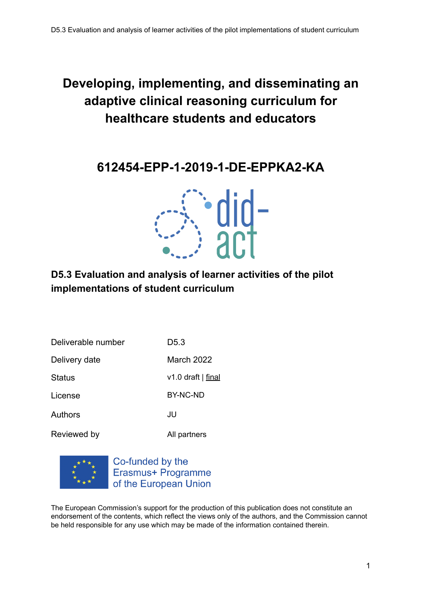## **Developing, implementing, and disseminating an adaptive clinical reasoning curriculum for healthcare students and educators**

**612454-EPP-1-2019-1-DE-EPPKA2-KA**



### **D5.3 Evaluation and analysis of learner activities of the pilot implementations of student curriculum**

| Deliverable number | D5.3               |
|--------------------|--------------------|
| Delivery date      | March 2022         |
| <b>Status</b>      | v1.0 draft   final |
| License            | BY-NC-ND           |
| Authors            | JU                 |
| Reviewed by        | All partners       |



Co-funded by the Erasmus+ Programme of the European Union

The European Commission's support for the production of this publication does not constitute an endorsement of the contents, which reflect the views only of the authors, and the Commission cannot be held responsible for any use which may be made of the information contained therein.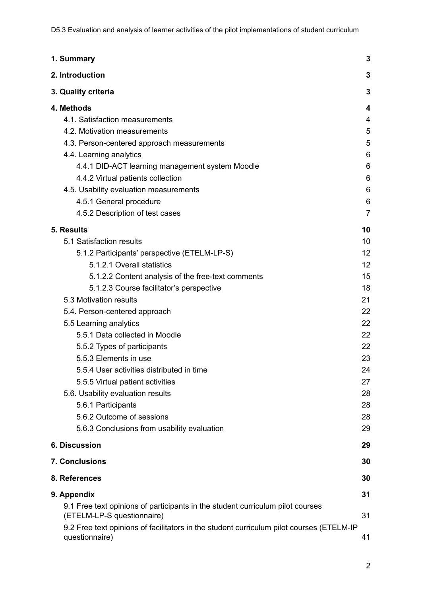D5.3 Evaluation and analysis of learner activities of the pilot implementations of student curriculum

| 1. Summary                                                                                                                                                                                                                                                                                                                                                                                                                                                                                                                                                                                                                    | 3                                                                                                        |
|-------------------------------------------------------------------------------------------------------------------------------------------------------------------------------------------------------------------------------------------------------------------------------------------------------------------------------------------------------------------------------------------------------------------------------------------------------------------------------------------------------------------------------------------------------------------------------------------------------------------------------|----------------------------------------------------------------------------------------------------------|
| 2. Introduction                                                                                                                                                                                                                                                                                                                                                                                                                                                                                                                                                                                                               | 3                                                                                                        |
| 3. Quality criteria                                                                                                                                                                                                                                                                                                                                                                                                                                                                                                                                                                                                           | 3                                                                                                        |
| 4. Methods<br>4.1. Satisfaction measurements<br>4.2. Motivation measurements<br>4.3. Person-centered approach measurements<br>4.4. Learning analytics<br>4.4.1 DID-ACT learning management system Moodle<br>4.4.2 Virtual patients collection<br>4.5. Usability evaluation measurements<br>4.5.1 General procedure                                                                                                                                                                                                                                                                                                            | 4<br>4<br>5<br>5<br>6<br>6<br>6<br>6<br>6                                                                |
| 4.5.2 Description of test cases                                                                                                                                                                                                                                                                                                                                                                                                                                                                                                                                                                                               | 7                                                                                                        |
| 5. Results<br>5.1 Satisfaction results<br>5.1.2 Participants' perspective (ETELM-LP-S)<br>5.1.2.1 Overall statistics<br>5.1.2.2 Content analysis of the free-text comments<br>5.1.2.3 Course facilitator's perspective<br>5.3 Motivation results<br>5.4. Person-centered approach<br>5.5 Learning analytics<br>5.5.1 Data collected in Moodle<br>5.5.2 Types of participants<br>5.5.3 Elements in use<br>5.5.4 User activities distributed in time<br>5.5.5 Virtual patient activities<br>5.6. Usability evaluation results<br>5.6.1 Participants<br>5.6.2 Outcome of sessions<br>5.6.3 Conclusions from usability evaluation | 10<br>10<br>12<br>12<br>15<br>18<br>21<br>22<br>22<br>22<br>22<br>23<br>24<br>27<br>28<br>28<br>28<br>29 |
| <b>6. Discussion</b>                                                                                                                                                                                                                                                                                                                                                                                                                                                                                                                                                                                                          | 29                                                                                                       |
| 7. Conclusions                                                                                                                                                                                                                                                                                                                                                                                                                                                                                                                                                                                                                | 30                                                                                                       |
| 8. References                                                                                                                                                                                                                                                                                                                                                                                                                                                                                                                                                                                                                 | 30                                                                                                       |
| 9. Appendix<br>9.1 Free text opinions of participants in the student curriculum pilot courses                                                                                                                                                                                                                                                                                                                                                                                                                                                                                                                                 | 31                                                                                                       |
| (ETELM-LP-S questionnaire)<br>9.2 Free text opinions of facilitators in the student curriculum pilot courses (ETELM-IP<br>questionnaire)                                                                                                                                                                                                                                                                                                                                                                                                                                                                                      | 31<br>41                                                                                                 |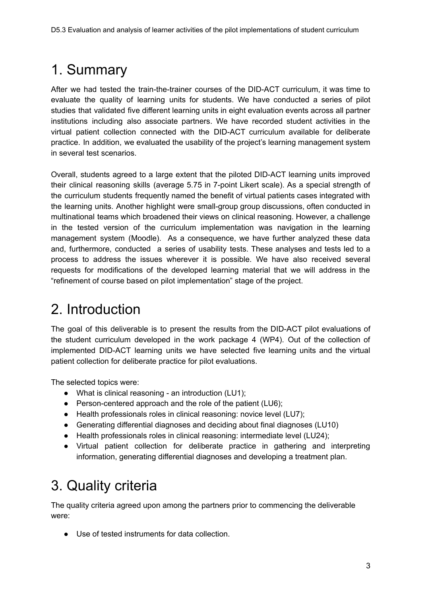# <span id="page-2-0"></span>1. Summary

After we had tested the train-the-trainer courses of the DID-ACT curriculum, it was time to evaluate the quality of learning units for students. We have conducted a series of pilot studies that validated five different learning units in eight evaluation events across all partner institutions including also associate partners. We have recorded student activities in the virtual patient collection connected with the DID-ACT curriculum available for deliberate practice. In addition, we evaluated the usability of the project's learning management system in several test scenarios.

Overall, students agreed to a large extent that the piloted DID-ACT learning units improved their clinical reasoning skills (average 5.75 in 7-point Likert scale). As a special strength of the curriculum students frequently named the benefit of virtual patients cases integrated with the learning units. Another highlight were small-group group discussions, often conducted in multinational teams which broadened their views on clinical reasoning. However, a challenge in the tested version of the curriculum implementation was navigation in the learning management system (Moodle). As a consequence, we have further analyzed these data and, furthermore, conducted a series of usability tests. These analyses and tests led to a process to address the issues wherever it is possible. We have also received several requests for modifications of the developed learning material that we will address in the "refinement of course based on pilot implementation" stage of the project.

# <span id="page-2-1"></span>2. Introduction

The goal of this deliverable is to present the results from the DID-ACT pilot evaluations of the student curriculum developed in the work package 4 (WP4). Out of the collection of implemented DID-ACT learning units we have selected five learning units and the virtual patient collection for deliberate practice for pilot evaluations.

The selected topics were:

- What is clinical reasoning an introduction (LU1);
- Person-centered approach and the role of the patient (LU6);
- Health professionals roles in clinical reasoning: novice level (LU7);
- Generating differential diagnoses and deciding about final diagnoses (LU10)
- Health professionals roles in clinical reasoning: intermediate level (LU24);
- Virtual patient collection for deliberate practice in gathering and interpreting information, generating differential diagnoses and developing a treatment plan.

# <span id="page-2-2"></span>3. Quality criteria

The quality criteria agreed upon among the partners prior to commencing the deliverable were:

● Use of tested instruments for data collection.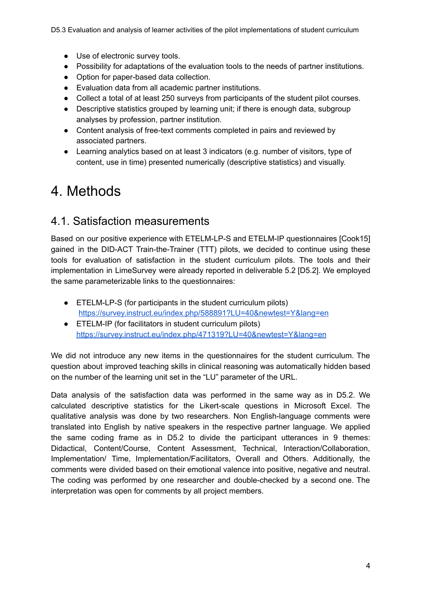D5.3 Evaluation and analysis of learner activities of the pilot implementations of student curriculum

- Use of electronic survey tools.
- Possibility for adaptations of the evaluation tools to the needs of partner institutions.
- Option for paper-based data collection.
- Evaluation data from all academic partner institutions.
- Collect a total of at least 250 surveys from participants of the student pilot courses.
- Descriptive statistics grouped by learning unit; if there is enough data, subgroup analyses by profession, partner institution.
- Content analysis of free-text comments completed in pairs and reviewed by associated partners.
- Learning analytics based on at least 3 indicators (e.g. number of visitors, type of content, use in time) presented numerically (descriptive statistics) and visually.

## <span id="page-3-0"></span>4. Methods

### <span id="page-3-1"></span>4.1. Satisfaction measurements

Based on our positive experience with ETELM-LP-S and ETELM-IP questionnaires [Cook15] gained in the DID-ACT Train-the-Trainer (TTT) pilots, we decided to continue using these tools for evaluation of satisfaction in the student curriculum pilots. The tools and their implementation in LimeSurvey were already reported in deliverable 5.2 [D5.2]. We employed the same parameterizable links to the questionnaires:

- ETELM-LP-S (for participants in the student curriculum pilots) <https://survey.instruct.eu/index.php/588891?LU=40&newtest=Y&lang=en>
- ETELM-IP (for facilitators in student curriculum pilots) <https://survey.instruct.eu/index.php/471319?LU=40&newtest=Y&lang=en>

We did not introduce any new items in the questionnaires for the student curriculum. The question about improved teaching skills in clinical reasoning was automatically hidden based on the number of the learning unit set in the "LU" parameter of the URL.

Data analysis of the satisfaction data was performed in the same way as in D5.2. We calculated descriptive statistics for the Likert-scale questions in Microsoft Excel. The qualitative analysis was done by two researchers. Non English-language comments were translated into English by native speakers in the respective partner language. We applied the same coding frame as in D5.2 to divide the participant utterances in 9 themes: Didactical, Content/Course, Content Assessment, Technical, Interaction/Collaboration, Implementation/ Time, Implementation/Facilitators, Overall and Others. Additionally, the comments were divided based on their emotional valence into positive, negative and neutral. The coding was performed by one researcher and double-checked by a second one. The interpretation was open for comments by all project members.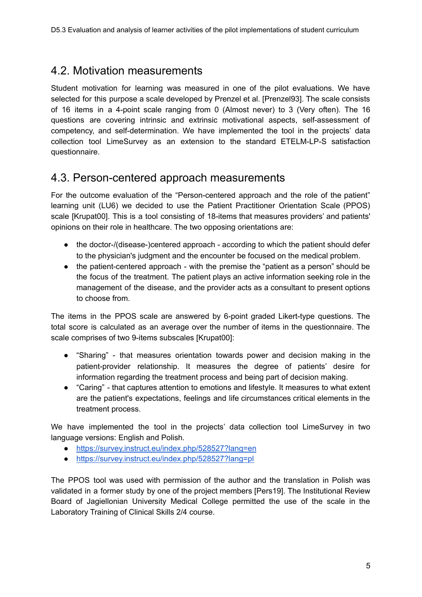### <span id="page-4-0"></span>4.2. Motivation measurements

Student motivation for learning was measured in one of the pilot evaluations. We have selected for this purpose a scale developed by Prenzel et al. [Prenzel93]. The scale consists of 16 items in a 4-point scale ranging from 0 (Almost never) to 3 (Very often). The 16 questions are covering intrinsic and extrinsic motivational aspects, self-assessment of competency, and self-determination. We have implemented the tool in the projects' data collection tool LimeSurvey as an extension to the standard ETELM-LP-S satisfaction questionnaire.

### <span id="page-4-1"></span>4.3. Person-centered approach measurements

For the outcome evaluation of the "Person-centered approach and the role of the patient" learning unit (LU6) we decided to use the Patient Practitioner Orientation Scale (PPOS) scale [Krupat00]. This is a tool consisting of 18-items that measures providers' and patients' opinions on their role in healthcare. The two opposing orientations are:

- the doctor-/(disease-)centered approach according to which the patient should defer to the physician's judgment and the encounter be focused on the medical problem.
- the patient-centered approach with the premise the "patient as a person" should be the focus of the treatment. The patient plays an active information seeking role in the management of the disease, and the provider acts as a consultant to present options to choose from.

The items in the PPOS scale are answered by 6-point graded Likert-type questions. The total score is calculated as an average over the number of items in the questionnaire. The scale comprises of two 9-items subscales [Krupat00]:

- "Sharing" that measures orientation towards power and decision making in the patient-provider relationship. It measures the degree of patients' desire for information regarding the treatment process and being part of decision making.
- "Caring" that captures attention to emotions and lifestyle. It measures to what extent are the patient's expectations, feelings and life circumstances critical elements in the treatment process.

We have implemented the tool in the projects' data collection tool LimeSurvey in two language versions: English and Polish.

- <https://survey.instruct.eu/index.php/528527?lang=en>
- <https://survey.instruct.eu/index.php/528527?lang=pl>

The PPOS tool was used with permission of the author and the translation in Polish was validated in a former study by one of the project members [Pers19]. The Institutional Review Board of Jagiellonian University Medical College permitted the use of the scale in the Laboratory Training of Clinical Skills 2/4 course.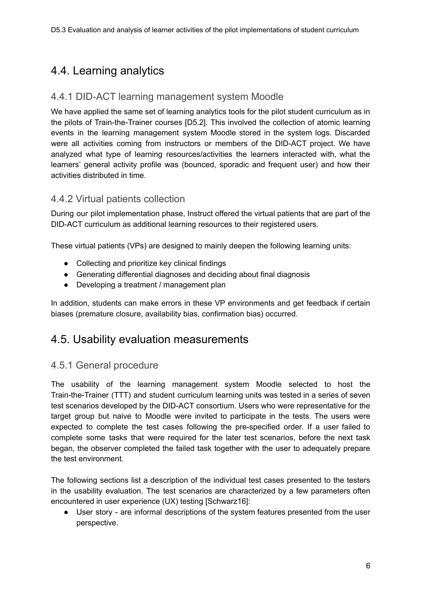### <span id="page-5-0"></span>4.4. Learning analytics

### <span id="page-5-1"></span>4.4.1 DID-ACT learning management system Moodle

We have applied the same set of learning analytics tools for the pilot student curriculum as in the pilots of Train-the-Trainer courses [D5.2]. This involved the collection of atomic learning events in the learning management system Moodle stored in the system logs. Discarded were all activities coming from instructors or members of the DID-ACT project. We have analyzed what type of learning resources/activities the learners interacted with, what the learners' general activity profile was (bounced, sporadic and frequent user) and how their activities distributed in time.

### <span id="page-5-2"></span>4.4.2 Virtual patients collection

During our pilot implementation phase, Instruct offered the virtual patients that are part of the DID-ACT curriculum as additional learning resources to their registered users.

These virtual patients (VPs) are designed to mainly deepen the following learning units:

- Collecting and prioritize key clinical findings
- Generating differential diagnoses and deciding about final diagnosis
- Developing a treatment / management plan

In addition, students can make errors in these VP environments and get feedback if certain biases (premature closure, availability bias, confirmation bias) occurred.

### <span id="page-5-3"></span>4.5. Usability evaluation measurements

### <span id="page-5-4"></span>4.5.1 General procedure

The usability of the learning management system Moodle selected to host the Train-the-Trainer (TTT) and student curriculum learning units was tested in a series of seven test scenarios developed by the DID-ACT consortium. Users who were representative for the target group but naive to Moodle were invited to participate in the tests. The users were expected to complete the test cases following the pre-specified order. If a user failed to complete some tasks that were required for the later test scenarios, before the next task began, the observer completed the failed task together with the user to adequately prepare the test environment.

The following sections list a description of the individual test cases presented to the testers in the usability evaluation. The test scenarios are characterized by a few parameters often encountered in user experience (UX) testing [Schwarz16]:

● User story - are informal descriptions of the system features presented from the user perspective.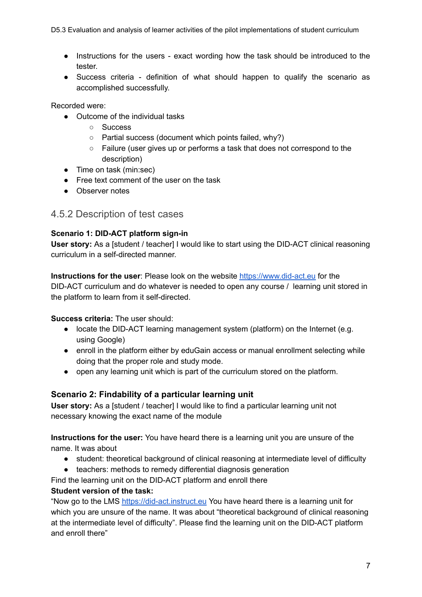D5.3 Evaluation and analysis of learner activities of the pilot implementations of student curriculum

- Instructions for the users exact wording how the task should be introduced to the tester.
- Success criteria definition of what should happen to qualify the scenario as accomplished successfully.

Recorded were:

- Outcome of the individual tasks
	- Success
	- Partial success (document which points failed, why?)
	- Failure (user gives up or performs a task that does not correspond to the description)
- Time on task (min:sec)
- Free text comment of the user on the task
- Observer notes

### <span id="page-6-0"></span>4.5.2 Description of test cases

### **Scenario 1: DID-ACT platform sign-in**

**User story:** As a [student / teacher] I would like to start using the DID-ACT clinical reasoning curriculum in a self-directed manner.

**Instructions for the user**: Please look on the website <https://www.did-act.eu> for the DID-ACT curriculum and do whatever is needed to open any course / learning unit stored in the platform to learn from it self-directed.

### **Success criteria:** The user should:

- locate the DID-ACT learning management system (platform) on the Internet (e.g. using Google)
- enroll in the platform either by eduGain access or manual enrollment selecting while doing that the proper role and study mode.
- open any learning unit which is part of the curriculum stored on the platform.

### **Scenario 2: Findability of a particular learning unit**

**User story:** As a [student / teacher] I would like to find a particular learning unit not necessary knowing the exact name of the module

**Instructions for the user:** You have heard there is a learning unit you are unsure of the name. It was about

- student: theoretical background of clinical reasoning at intermediate level of difficulty
- teachers: methods to remedy differential diagnosis generation

Find the learning unit on the DID-ACT platform and enroll there

### **Student version of the task:**

"Now go to the LMS <https://did-act.instruct.eu> You have heard there is a learning unit for which you are unsure of the name. It was about "theoretical background of clinical reasoning at the intermediate level of difficulty". Please find the learning unit on the DID-ACT platform and enroll there"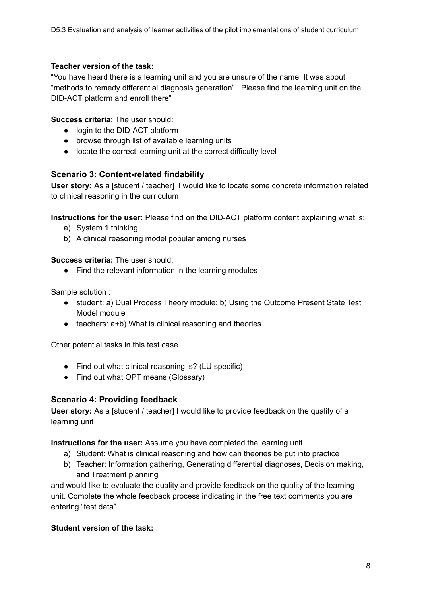#### **Teacher version of the task:**

"You have heard there is a learning unit and you are unsure of the name. It was about "methods to remedy differential diagnosis generation". Please find the learning unit on the DID-ACT platform and enroll there"

### **Success criteria:** The user should:

- login to the DID-ACT platform
- browse through list of available learning units
- locate the correct learning unit at the correct difficulty level

### **Scenario 3: Content-related findability**

**User story:** As a [student / teacher] I would like to locate some concrete information related to clinical reasoning in the curriculum

**Instructions for the user:** Please find on the DID-ACT platform content explaining what is:

- a) System 1 thinking
- b) A clinical reasoning model popular among nurses

#### **Success criteria:** The user should:

● Find the relevant information in the learning modules

Sample solution :

- student: a) Dual Process Theory module; b) Using the Outcome Present State Test Model module
- teachers: a+b) What is clinical reasoning and theories

Other potential tasks in this test case

- Find out what clinical reasoning is? (LU specific)
- Find out what OPT means (Glossary)

### **Scenario 4: Providing feedback**

**User story:** As a [student / teacher] I would like to provide feedback on the quality of a learning unit

**Instructions for the user:** Assume you have completed the learning unit

- a) Student: What is clinical reasoning and how can theories be put into practice
- b) Teacher: Information gathering, Generating differential diagnoses, Decision making, and Treatment planning

and would like to evaluate the quality and provide feedback on the quality of the learning unit. Complete the whole feedback process indicating in the free text comments you are entering "test data".

### **Student version of the task:**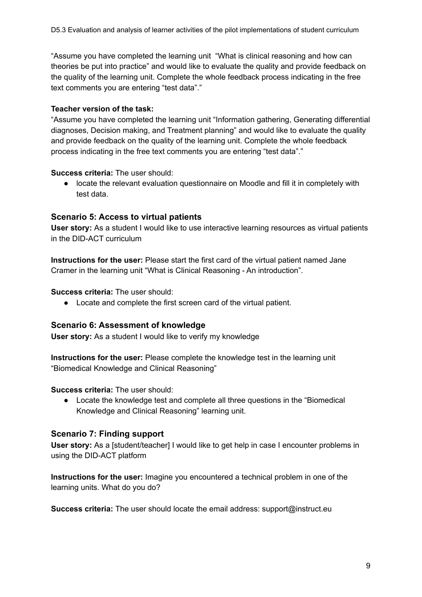"Assume you have completed the learning unit "What is clinical reasoning and how can theories be put into practice" and would like to evaluate the quality and provide feedback on the quality of the learning unit. Complete the whole feedback process indicating in the free text comments you are entering "test data"."

### **Teacher version of the task:**

"Assume you have completed the learning unit "Information gathering, Generating differential diagnoses, Decision making, and Treatment planning" and would like to evaluate the quality and provide feedback on the quality of the learning unit. Complete the whole feedback process indicating in the free text comments you are entering "test data"."

#### **Success criteria:** The user should:

● locate the relevant evaluation questionnaire on Moodle and fill it in completely with test data.

### **Scenario 5: Access to virtual patients**

**User story:** As a student I would like to use interactive learning resources as virtual patients in the DID-ACT curriculum

**Instructions for the user:** Please start the first card of the virtual patient named Jane Cramer in the learning unit "What is Clinical Reasoning - An introduction".

#### **Success criteria:** The user should:

● Locate and complete the first screen card of the virtual patient.

### **Scenario 6: Assessment of knowledge**

**User story:** As a student I would like to verify my knowledge

**Instructions for the user:** Please complete the knowledge test in the learning unit "Biomedical Knowledge and Clinical Reasoning"

#### **Success criteria:** The user should:

● Locate the knowledge test and complete all three questions in the "Biomedical Knowledge and Clinical Reasoning" learning unit.

#### **Scenario 7: Finding support**

**User story:** As a [student/teacher] I would like to get help in case I encounter problems in using the DID-ACT platform

**Instructions for the user:** Imagine you encountered a technical problem in one of the learning units. What do you do?

**Success criteria:** The user should locate the email address: support@instruct.eu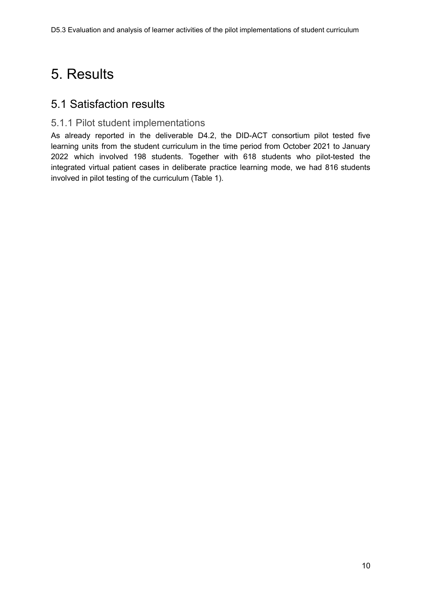# <span id="page-9-0"></span>5. Results

### <span id="page-9-1"></span>5.1 Satisfaction results

### 5.1.1 Pilot student implementations

As already reported in the deliverable D4.2, the DID-ACT consortium pilot tested five learning units from the student curriculum in the time period from October 2021 to January 2022 which involved 198 students. Together with 618 students who pilot-tested the integrated virtual patient cases in deliberate practice learning mode, we had 816 students involved in pilot testing of the curriculum (Table 1).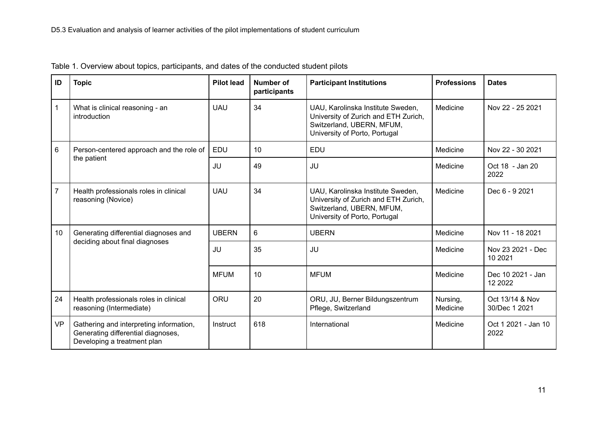| ID             | <b>Topic</b>                                                                                                 | <b>Pilot lead</b> | Number of<br>participants | <b>Participant Institutions</b>                                                                                                         | <b>Professions</b>   | <b>Dates</b>                     |
|----------------|--------------------------------------------------------------------------------------------------------------|-------------------|---------------------------|-----------------------------------------------------------------------------------------------------------------------------------------|----------------------|----------------------------------|
|                | What is clinical reasoning - an<br>introduction                                                              | <b>UAU</b>        | 34                        | UAU, Karolinska Institute Sweden,<br>University of Zurich and ETH Zurich,<br>Switzerland, UBERN, MFUM,<br>University of Porto, Portugal | Medicine             | Nov 22 - 25 2021                 |
| 6              | Person-centered approach and the role of                                                                     | <b>EDU</b>        | 10                        | <b>EDU</b>                                                                                                                              | Medicine             | Nov 22 - 30 2021                 |
|                | the patient                                                                                                  | JU                | 49                        | JU                                                                                                                                      | Medicine             | Oct 18 - Jan 20<br>2022          |
| $\overline{7}$ | Health professionals roles in clinical<br>reasoning (Novice)                                                 | <b>UAU</b>        | 34                        | UAU, Karolinska Institute Sweden,<br>University of Zurich and ETH Zurich,<br>Switzerland, UBERN, MFUM,<br>University of Porto, Portugal | Medicine             | Dec 6 - 9 2021                   |
| 10             | Generating differential diagnoses and                                                                        | <b>UBERN</b>      | 6                         | <b>UBERN</b>                                                                                                                            | Medicine             | Nov 11 - 18 2021                 |
|                | deciding about final diagnoses                                                                               | JU                | 35                        | JU                                                                                                                                      | Medicine             | Nov 23 2021 - Dec<br>10 20 21    |
|                |                                                                                                              | <b>MFUM</b>       | 10                        | <b>MFUM</b>                                                                                                                             | Medicine             | Dec 10 2021 - Jan<br>12 2022     |
| 24             | Health professionals roles in clinical<br>reasoning (Intermediate)                                           | ORU               | 20                        | ORU, JU, Berner Bildungszentrum<br>Pflege, Switzerland                                                                                  | Nursing,<br>Medicine | Oct 13/14 & Nov<br>30/Dec 1 2021 |
| <b>VP</b>      | Gathering and interpreting information,<br>Generating differential diagnoses,<br>Developing a treatment plan | Instruct          | 618                       | International                                                                                                                           | Medicine             | Oct 1 2021 - Jan 10<br>2022      |

Table 1. Overview about topics, participants, and dates of the conducted student pilots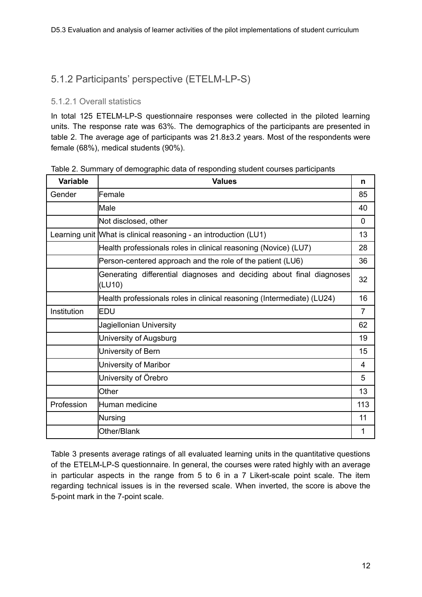### <span id="page-11-0"></span>5.1.2 Participants' perspective (ETELM-LP-S)

### <span id="page-11-1"></span>5.1.2.1 Overall statistics

In total 125 ETELM-LP-S questionnaire responses were collected in the piloted learning units. The response rate was 63%. The demographics of the participants are presented in table 2. The average age of participants was 21.8±3.2 years. Most of the respondents were female (68%), medical students (90%).

| Variable    | <b>Values</b>                                                                  | n              |
|-------------|--------------------------------------------------------------------------------|----------------|
| Gender      | Female                                                                         | 85             |
|             | Male                                                                           | 40             |
|             | Not disclosed, other                                                           | $\Omega$       |
|             | Learning unit What is clinical reasoning - an introduction (LU1)               | 13             |
|             | Health professionals roles in clinical reasoning (Novice) (LU7)                | 28             |
|             | Person-centered approach and the role of the patient (LU6)                     | 36             |
|             | Generating differential diagnoses and deciding about final diagnoses<br>(LU10) | 32             |
|             | Health professionals roles in clinical reasoning (Intermediate) (LU24)         | 16             |
| Institution | <b>EDU</b>                                                                     | $\overline{7}$ |
|             | Jagiellonian University                                                        | 62             |
|             | University of Augsburg                                                         | 19             |
|             | University of Bern                                                             | 15             |
|             | University of Maribor                                                          | 4              |
|             | University of Örebro                                                           | 5              |
|             | Other                                                                          | 13             |
| Profession  | Human medicine                                                                 | 113            |
|             | Nursing                                                                        | 11             |
|             | Other/Blank                                                                    | 1              |

Table 2. Summary of demographic data of responding student courses participants

Table 3 presents average ratings of all evaluated learning units in the quantitative questions of the ETELM-LP-S questionnaire. In general, the courses were rated highly with an average in particular aspects in the range from 5 to 6 in a 7 Likert-scale point scale. The item regarding technical issues is in the reversed scale. When inverted, the score is above the 5-point mark in the 7-point scale.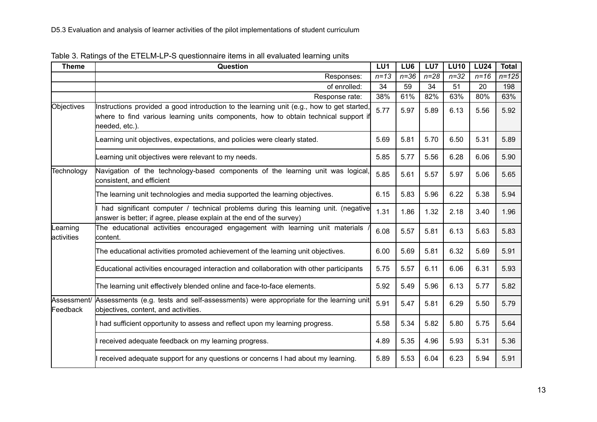| <b>Theme</b>            | Question                                                                                                                                                                                           | LU <sub>1</sub> | LU6    | LU7      | <b>LU10</b> | <b>LU24</b> | <b>Total</b> |
|-------------------------|----------------------------------------------------------------------------------------------------------------------------------------------------------------------------------------------------|-----------------|--------|----------|-------------|-------------|--------------|
|                         | Responses:                                                                                                                                                                                         | $n = 13$        | $n=36$ | $n = 28$ | $n = 32$    | $n=16$      | $n = 125$    |
|                         | of enrolled:                                                                                                                                                                                       | 34              | 59     | 34       | 51          | 20          | 198          |
|                         | Response rate:                                                                                                                                                                                     | 38%             | 61%    | 82%      | 63%         | 80%         | 63%          |
| Objectives              | Instructions provided a good introduction to the learning unit (e.g., how to get started,<br>where to find various learning units components, how to obtain technical support if<br>needed, etc.). | 5.77            | 5.97   | 5.89     | 6.13        | 5.56        | 5.92         |
|                         | Learning unit objectives, expectations, and policies were clearly stated.                                                                                                                          | 5.69            | 5.81   | 5.70     | 6.50        | 5.31        | 5.89         |
|                         | Learning unit objectives were relevant to my needs.                                                                                                                                                | 5.85            | 5.77   | 5.56     | 6.28        | 6.06        | 5.90         |
| Technology              | Navigation of the technology-based components of the learning unit was logical,<br>consistent, and efficient                                                                                       | 5.85            | 5.61   | 5.57     | 5.97        | 5.06        | 5.65         |
|                         | The learning unit technologies and media supported the learning objectives.                                                                                                                        | 6.15            | 5.83   | 5.96     | 6.22        | 5.38        | 5.94         |
|                         | had significant computer / technical problems during this learning unit. (negative<br>answer is better; if agree, please explain at the end of the survey)                                         | 1.31            | 1.86   | 1.32     | 2.18        | 3.40        | 1.96         |
| _earning<br>activities  | The educational activities encouraged engagement with learning unit materials<br>content.                                                                                                          | 6.08            | 5.57   | 5.81     | 6.13        | 5.63        | 5.83         |
|                         | The educational activities promoted achievement of the learning unit objectives.                                                                                                                   | 6.00            | 5.69   | 5.81     | 6.32        | 5.69        | 5.91         |
|                         | Educational activities encouraged interaction and collaboration with other participants                                                                                                            | 5.75            | 5.57   | 6.11     | 6.06        | 6.31        | 5.93         |
|                         | The learning unit effectively blended online and face-to-face elements.                                                                                                                            | 5.92            | 5.49   | 5.96     | 6.13        | 5.77        | 5.82         |
| Assessment/<br>Feedback | Assessments (e.g. tests and self-assessments) were appropriate for the learning unit<br>objectives, content, and activities.                                                                       | 5.91            | 5.47   | 5.81     | 6.29        | 5.50        | 5.79         |
|                         | had sufficient opportunity to assess and reflect upon my learning progress.                                                                                                                        | 5.58            | 5.34   | 5.82     | 5.80        | 5.75        | 5.64         |
|                         | received adequate feedback on my learning progress.                                                                                                                                                | 4.89            | 5.35   | 4.96     | 5.93        | 5.31        | 5.36         |
|                         | received adequate support for any questions or concerns I had about my learning.                                                                                                                   | 5.89            | 5.53   | 6.04     | 6.23        | 5.94        | 5.91         |

|  | Table 3. Ratings of the ETELM-LP-S questionnaire items in all evaluated learning units |  |
|--|----------------------------------------------------------------------------------------|--|
|  |                                                                                        |  |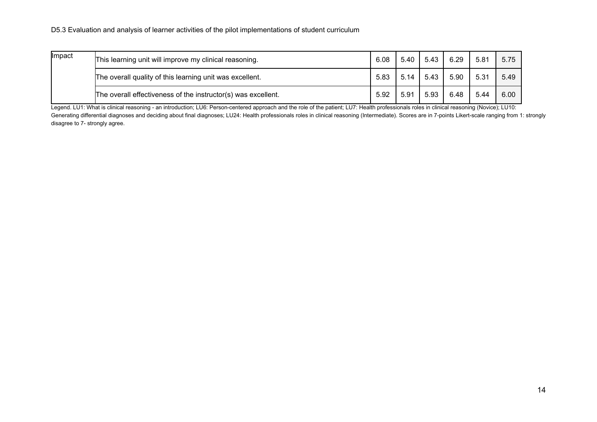| Impact | This learning unit will improve my clinical reasoning.        | 6.08 | 5.40 | 5.43 | 6.29 | 5.81 | 5.75 |
|--------|---------------------------------------------------------------|------|------|------|------|------|------|
|        | The overall quality of this learning unit was excellent.      | 5.83 | 5.14 | 5.43 | 5.90 | 5.31 | 5.49 |
|        | The overall effectiveness of the instructor(s) was excellent. | 5.92 | 5.91 | 5.93 | 6.48 | 5.44 | 6.00 |

Legend. LU1: What is clinical reasoning - an introduction; LU6: Person-centered approach and the role of the patient; LU7: Health professionals roles in clinical reasoning (Novice); LU10: Generating differential diagnoses and deciding about final diagnoses; LU24: Health professionals roles in clinical reasoning (Intermediate). Scores are in 7-points Likert-scale ranging from 1: strongly disagree to 7- strongly agree.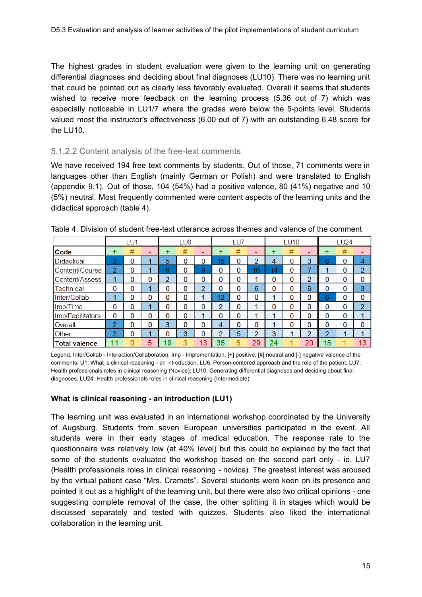The highest grades in student evaluation were given to the learning unit on generating differential diagnoses and deciding about final diagnoses (LU10). There was no learning unit that could be pointed out as clearly less favorably evaluated. Overall it seems that students wished to receive more feedback on the learning process (5.36 out of 7) which was especially noticeable in LU1/7 where the grades were below the 5-points level. Students valued most the instructor's effectiveness (6.00 out of 7) with an outstanding 6.48 score for the LU10.

#### <span id="page-14-0"></span>5.1.2.2 Content analysis of the free-text comments

We have received 194 free text comments by students. Out of those, 71 comments were in languages other than English (mainly German or Polish) and were translated to English (appendix 9.1). Out of those, 104 (54%) had a positive valence, 80 (41%) negative and 10 (5%) neutral. Most frequently commented were content aspects of the learning units and the didactical approach (table 4).

|                      |                | LU1 |   |    | LU6 |               |    | LU7 |               |                 | <b>LU10</b> |                          |          | LU24 |                |
|----------------------|----------------|-----|---|----|-----|---------------|----|-----|---------------|-----------------|-------------|--------------------------|----------|------|----------------|
| Code                 | +              | #   |   | +  | #   | -             | ÷  | #   |               | ÷               | #           | $\overline{\phantom{0}}$ | ÷        | #    |                |
| <b>Didactical</b>    | 3              | 0   |   | 5  | 0   |               | 15 | 0   | 2             | 4               | 0           | 3                        | 6        | 0    | 4              |
| Content/Course       | $\overline{2}$ | 0   |   | 9  | 0   | 9             | 0  | 0   | 16            | $\overline{14}$ | 0           | ⇁                        |          | 0    | $\overline{2}$ |
| Content/Assess       |                | 0   | 0 | o  | 0   | 0             | 0  | 0   |               | 0               | 0           | $\overline{2}$           | 0        | 0    | 0              |
| Technical            | 0              | 0   |   | 0  | 0   | $\mathcal{P}$ | 0  | 0   | 6             | 0               | 0           | 6                        | $\Omega$ | 0    | 3              |
| Inter/Collab         |                | 0   | 0 | 0  | 0   |               | 12 | 0   | 0             |                 | 0           | 0                        | 6        | 0    | 0              |
| Imp/Time             | 0              | 0   |   | 0  | 0   | O             | 2  | 0   | л             | 0               | 0           | 0                        | $\bf{0}$ | 0    | $\overline{2}$ |
| Imp/Facilitators     | $\mathbf{0}$   | 0   | 0 | 0  | 0   |               | 0  | 0   | ◢             |                 | 0           | 0                        | $\Omega$ | 0    |                |
| Overall              | $\overline{2}$ | 0   | 0 | 3  | 0   | 0             | 4  | 0   | $\Omega$      |                 | 0           | 0                        | $\Omega$ | 0    | $\Omega$       |
| Other                | 2              | 0   |   | 0  | 3   | O             | റ  | 5   | $\mathcal{D}$ | 3               | 4           | C                        | $\Omega$ | и    |                |
| <b>Total valence</b> | 11             |     | 5 | 19 |     | 13            | 35 |     | 29            | 24              |             | 20                       | 15       |      | 13             |

Table 4. Division of student free-text utterance across themes and valence of the comment

Legend. Inter/Collab - Interaction/Collaboration; Imp - Implementation. [+] positive; [#] neutral and [-] negative valence of the comments. U1: What is clinical reasoning - an introduction; LU6: Person-centered approach and the role of the patient; LU7: Health professionals roles in clinical reasoning (Novice); LU10: Generating differential diagnoses and deciding about final diagnoses; LU24: Health professionals roles in clinical reasoning (Intermediate).

#### **What is clinical reasoning - an introduction (LU1)**

The learning unit was evaluated in an international workshop coordinated by the University of Augsburg. Students from seven European universities participated in the event. All students were in their early stages of medical education. The response rate to the questionnaire was relatively low (at 40% level) but this could be explained by the fact that some of the students evaluated the workshop based on the second part only - ie. LU7 (Health professionals roles in clinical reasoning - novice). The greatest interest was aroused by the virtual patient case "Mrs. Cramets". Several students were keen on its presence and pointed it out as a highlight of the learning unit, but there were also two critical opinions - one suggesting complete removal of the case, the other splitting it in stages which would be discussed separately and tested with quizzes. Students also liked the international collaboration in the learning unit.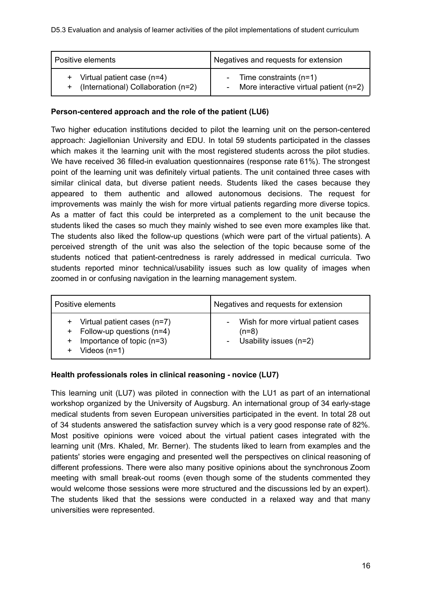| Positive elements                                                     | Negatives and requests for extension                                             |
|-----------------------------------------------------------------------|----------------------------------------------------------------------------------|
| + Virtual patient case (n=4)<br>+ (International) Collaboration (n=2) | - Time constraints $(n=1)$<br>More interactive virtual patient $(n=2)$<br>$\sim$ |

### **Person-centered approach and the role of the patient (LU6)**

Two higher education institutions decided to pilot the learning unit on the person-centered approach: Jagiellonian University and EDU. In total 59 students participated in the classes which makes it the learning unit with the most registered students across the pilot studies. We have received 36 filled-in evaluation questionnaires (response rate 61%). The strongest point of the learning unit was definitely virtual patients. The unit contained three cases with similar clinical data, but diverse patient needs. Students liked the cases because they appeared to them authentic and allowed autonomous decisions. The request for improvements was mainly the wish for more virtual patients regarding more diverse topics. As a matter of fact this could be interpreted as a complement to the unit because the students liked the cases so much they mainly wished to see even more examples like that. The students also liked the follow-up questions (which were part of the virtual patients). A perceived strength of the unit was also the selection of the topic because some of the students noticed that patient-centredness is rarely addressed in medical curricula. Two students reported minor technical/usability issues such as low quality of images when zoomed in or confusing navigation in the learning management system.

| Positive elements             | Negatives and requests for extension |
|-------------------------------|--------------------------------------|
| + Virtual patient cases (n=7) | Wish for more virtual patient cases  |
| + Follow-up questions (n=4)   | $\overline{\phantom{0}}$             |
| Importance of topic $(n=3)$   | $(n=8)$                              |
| $\ddot{}$                     | Usability issues $(n=2)$             |
| Videos $(n=1)$                | ÷,                                   |

### **Health professionals roles in clinical reasoning - novice (LU7)**

This learning unit (LU7) was piloted in connection with the LU1 as part of an international workshop organized by the University of Augsburg. An international group of 34 early-stage medical students from seven European universities participated in the event. In total 28 out of 34 students answered the satisfaction survey which is a very good response rate of 82%. Most positive opinions were voiced about the virtual patient cases integrated with the learning unit (Mrs. Khaled, Mr. Berner). The students liked to learn from examples and the patients' stories were engaging and presented well the perspectives on clinical reasoning of different professions. There were also many positive opinions about the synchronous Zoom meeting with small break-out rooms (even though some of the students commented they would welcome those sessions were more structured and the discussions led by an expert). The students liked that the sessions were conducted in a relaxed way and that many universities were represented.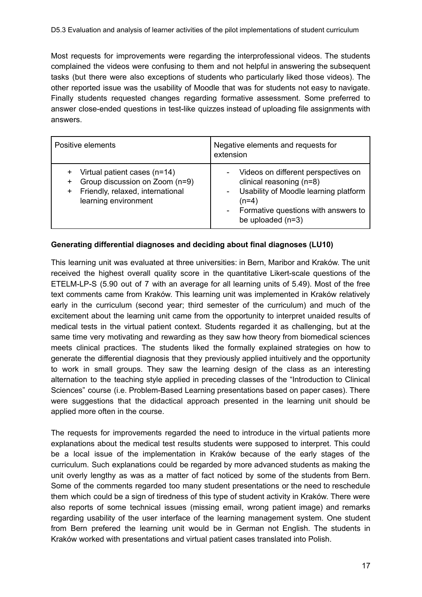Most requests for improvements were regarding the interprofessional videos. The students complained the videos were confusing to them and not helpful in answering the subsequent tasks (but there were also exceptions of students who particularly liked those videos). The other reported issue was the usability of Moodle that was for students not easy to navigate. Finally students requested changes regarding formative assessment. Some preferred to answer close-ended questions in test-like quizzes instead of uploading file assignments with answers.

| Positive elements                                                                                                                            | Negative elements and requests for<br>extension                                                                                                                                                                                                |
|----------------------------------------------------------------------------------------------------------------------------------------------|------------------------------------------------------------------------------------------------------------------------------------------------------------------------------------------------------------------------------------------------|
| Virtual patient cases (n=14)<br>+<br>Group discussion on Zoom (n=9)<br>+<br>Friendly, relaxed, international<br>$^+$<br>learning environment | Videos on different perspectives on<br>۰<br>clinical reasoning (n=8)<br>Usability of Moodle learning platform<br>$\overline{\phantom{0}}$<br>$(n=4)$<br>Formative questions with answers to<br>$\overline{\phantom{a}}$<br>be uploaded $(n=3)$ |

### **Generating differential diagnoses and deciding about final diagnoses (LU10)**

This learning unit was evaluated at three universities: in Bern, Maribor and Kraków. The unit received the highest overall quality score in the quantitative Likert-scale questions of the ETELM-LP-S (5.90 out of 7 with an average for all learning units of 5.49). Most of the free text comments came from Kraków. This learning unit was implemented in Kraków relatively early in the curriculum (second year; third semester of the curriculum) and much of the excitement about the learning unit came from the opportunity to interpret unaided results of medical tests in the virtual patient context. Students regarded it as challenging, but at the same time very motivating and rewarding as they saw how theory from biomedical sciences meets clinical practices. The students liked the formally explained strategies on how to generate the differential diagnosis that they previously applied intuitively and the opportunity to work in small groups. They saw the learning design of the class as an interesting alternation to the teaching style applied in preceding classes of the "Introduction to Clinical Sciences" course (i.e. Problem-Based Learning presentations based on paper cases). There were suggestions that the didactical approach presented in the learning unit should be applied more often in the course.

The requests for improvements regarded the need to introduce in the virtual patients more explanations about the medical test results students were supposed to interpret. This could be a local issue of the implementation in Kraków because of the early stages of the curriculum. Such explanations could be regarded by more advanced students as making the unit overly lengthy as was as a matter of fact noticed by some of the students from Bern. Some of the comments regarded too many student presentations or the need to reschedule them which could be a sign of tiredness of this type of student activity in Kraków. There were also reports of some technical issues (missing email, wrong patient image) and remarks regarding usability of the user interface of the learning management system. One student from Bern prefered the learning unit would be in German not English. The students in Kraków worked with presentations and virtual patient cases translated into Polish.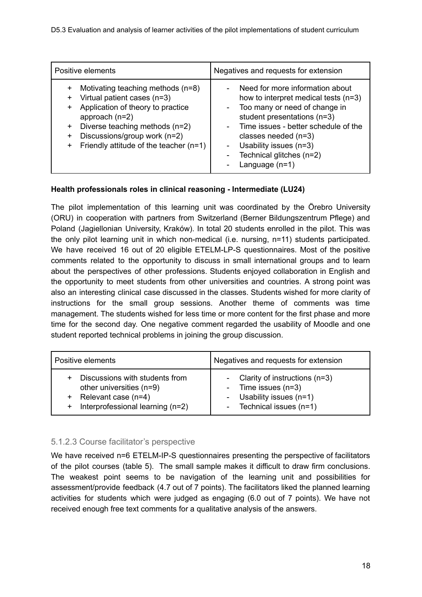| Positive elements                                                                                                                                                                                                                                                                             | Negatives and requests for extension                                                                                                                                                                                                                                                |
|-----------------------------------------------------------------------------------------------------------------------------------------------------------------------------------------------------------------------------------------------------------------------------------------------|-------------------------------------------------------------------------------------------------------------------------------------------------------------------------------------------------------------------------------------------------------------------------------------|
| Motivating teaching methods (n=8)<br>$\ddot{}$<br>Virtual patient cases (n=3)<br>$\ddot{}$<br>Application of theory to practice<br>+<br>approach $(n=2)$<br>Diverse teaching methods (n=2)<br>+<br>Discussions/group work (n=2)<br>+<br>Friendly attitude of the teacher $(n=1)$<br>$\ddot{}$ | Need for more information about<br>how to interpret medical tests (n=3)<br>Too many or need of change in<br>student presentations (n=3)<br>Time issues - better schedule of the<br>classes needed $(n=3)$<br>Usability issues (n=3)<br>Technical glitches (n=2)<br>Language $(n=1)$ |

### **Health professionals roles in clinical reasoning - Intermediate (LU24)**

The pilot implementation of this learning unit was coordinated by the Örebro University (ORU) in cooperation with partners from Switzerland (Berner Bildungszentrum Pflege) and Poland (Jagiellonian University, Kraków). In total 20 students enrolled in the pilot. This was the only pilot learning unit in which non-medical (i.e. nursing, n=11) students participated. We have received 16 out of 20 eligible ETELM-LP-S questionnaires. Most of the positive comments related to the opportunity to discuss in small international groups and to learn about the perspectives of other professions. Students enjoyed collaboration in English and the opportunity to meet students from other universities and countries. A strong point was also an interesting clinical case discussed in the classes. Students wished for more clarity of instructions for the small group sessions. Another theme of comments was time management. The students wished for less time or more content for the first phase and more time for the second day. One negative comment regarded the usability of Moodle and one student reported technical problems in joining the group discussion.

| Positive elements                                                                                                       | Negatives and requests for extension                                                                                                     |
|-------------------------------------------------------------------------------------------------------------------------|------------------------------------------------------------------------------------------------------------------------------------------|
| Discussions with students from<br>other universities (n=9)<br>+ Relevant case (n=4)<br>Interprofessional learning (n=2) | - Clarity of instructions (n=3)<br>- Time issues (n=3)<br>- Usability issues (n=1)<br>Technical issues (n=1)<br>$\overline{\phantom{a}}$ |

### <span id="page-17-0"></span>5.1.2.3 Course facilitator's perspective

We have received n=6 ETELM-IP-S questionnaires presenting the perspective of facilitators of the pilot courses (table 5). The small sample makes it difficult to draw firm conclusions. The weakest point seems to be navigation of the learning unit and possibilities for assessment/provide feedback (4.7 out of 7 points). The facilitators liked the planned learning activities for students which were judged as engaging (6.0 out of 7 points). We have not received enough free text comments for a qualitative analysis of the answers.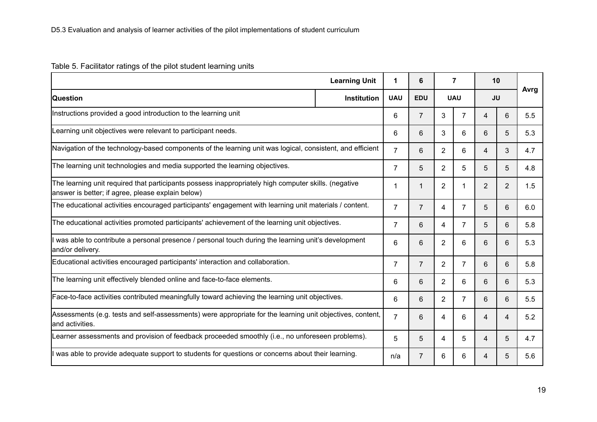### Table 5. Facilitator ratings of the pilot student learning units

|                                                                                                                                                           | <b>Learning Unit</b> | 1              | 6              |                | $\overline{7}$ |                | 10  |      |
|-----------------------------------------------------------------------------------------------------------------------------------------------------------|----------------------|----------------|----------------|----------------|----------------|----------------|-----|------|
| <b>Question</b>                                                                                                                                           | <b>Institution</b>   | <b>UAU</b>     | <b>EDU</b>     |                | <b>UAU</b>     | <b>JU</b>      |     | Avrg |
| Instructions provided a good introduction to the learning unit                                                                                            | 6                    | $\overline{7}$ | 3              | $\overline{7}$ | 4              | 6              | 5.5 |      |
| Learning unit objectives were relevant to participant needs.                                                                                              | 6                    | 6              | 3              | 6              | 6              | 5              | 5.3 |      |
| Navigation of the technology-based components of the learning unit was logical, consistent, and efficient                                                 |                      | $\overline{7}$ | 6              | $\overline{2}$ | 6              | 4              | 3   | 4.7  |
| The learning unit technologies and media supported the learning objectives.                                                                               |                      | $\overline{7}$ | 5              | $\overline{2}$ | 5              | 5              | 5   | 4.8  |
| The learning unit required that participants possess inappropriately high computer skills. (negative<br>answer is better; if agree, please explain below) |                      | $\mathbf 1$    | $\mathbf{1}$   | $\overline{2}$ | 1              | $\overline{2}$ | 2   | 1.5  |
| The educational activities encouraged participants' engagement with learning unit materials / content.                                                    |                      | $\overline{7}$ | $\overline{7}$ | 4              | $\overline{7}$ | 5              | 6   | 6.0  |
| The educational activities promoted participants' achievement of the learning unit objectives.                                                            |                      | $\overline{7}$ | 6              | 4              | $\overline{7}$ | 5              | 6   | 5.8  |
| was able to contribute a personal presence / personal touch during the learning unit's development<br>and/or delivery.                                    |                      | 6              | 6              | $\overline{2}$ | 6              | 6              | 6   | 5.3  |
| Educational activities encouraged participants' interaction and collaboration.                                                                            |                      | $\overline{7}$ | $\overline{7}$ | $\overline{2}$ | $\overline{7}$ | 6              | 6   | 5.8  |
| The learning unit effectively blended online and face-to-face elements.                                                                                   |                      | 6              | 6              | $\overline{2}$ | 6              | 6              | 6   | 5.3  |
| Face-to-face activities contributed meaningfully toward achieving the learning unit objectives.                                                           |                      | 6              | 6              | $\overline{2}$ | $\overline{7}$ | 6              | 6   | 5.5  |
| Assessments (e.g. tests and self-assessments) were appropriate for the learning unit objectives, content,<br>land activities.                             | $\overline{7}$       | 6              | 4              | 6              | 4              | $\overline{4}$ | 5.2 |      |
| Learner assessments and provision of feedback proceeded smoothly (i.e., no unforeseen problems).                                                          | 5                    | 5              | 4              | 5              | 4              | 5              | 4.7 |      |
| was able to provide adequate support to students for questions or concerns about their learning.                                                          |                      | n/a            | $\overline{7}$ | 6              | 6              | 4              | 5   | 5.6  |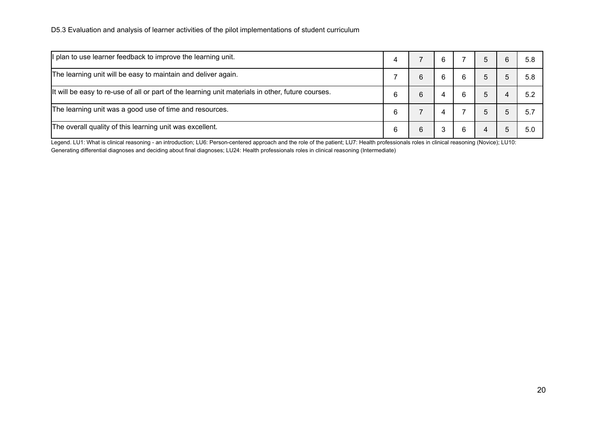| If plan to use learner feedback to improve the learning unit.                                     |   |   | 6 |   |  | 5.8  |
|---------------------------------------------------------------------------------------------------|---|---|---|---|--|------|
| The learning unit will be easy to maintain and deliver again.                                     |   | 6 | 6 | b |  | 5.8  |
| It will be easy to re-use of all or part of the learning unit materials in other, future courses. |   | 6 |   |   |  | 52   |
| The learning unit was a good use of time and resources.                                           | 6 |   |   |   |  | -5.1 |
| The overall quality of this learning unit was excellent.                                          |   | 6 |   |   |  | 5 O  |

Legend. LU1: What is clinical reasoning - an introduction; LU6: Person-centered approach and the role of the patient; LU7: Health professionals roles in clinical reasoning (Novice); LU10: Generating differential diagnoses and deciding about final diagnoses; LU24: Health professionals roles in clinical reasoning (Intermediate)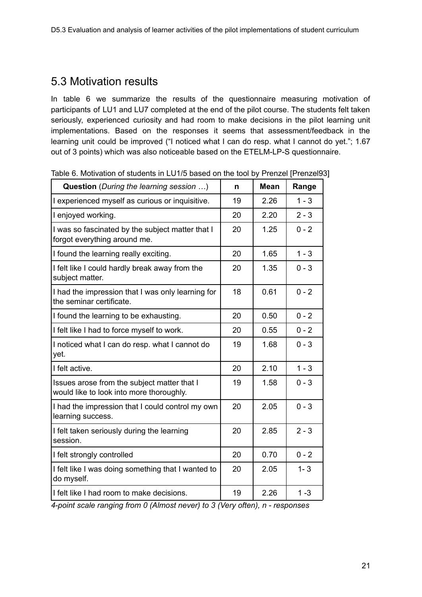### <span id="page-20-0"></span>5.3 Motivation results

In table 6 we summarize the results of the questionnaire measuring motivation of participants of LU1 and LU7 completed at the end of the pilot course. The students felt taken seriously, experienced curiosity and had room to make decisions in the pilot learning unit implementations. Based on the responses it seems that assessment/feedback in the learning unit could be improved ("I noticed what I can do resp. what I cannot do yet."; 1.67 out of 3 points) which was also noticeable based on the ETELM-LP-S questionnaire.

| <b>Question</b> (During the learning session )                                          | n  | <b>Mean</b> | Range   |
|-----------------------------------------------------------------------------------------|----|-------------|---------|
| I experienced myself as curious or inquisitive.                                         | 19 | 2.26        | $1 - 3$ |
| I enjoyed working.                                                                      | 20 | 2.20        | $2 - 3$ |
| I was so fascinated by the subject matter that I<br>forgot everything around me.        | 20 | 1.25        | $0 - 2$ |
| I found the learning really exciting.                                                   | 20 | 1.65        | $1 - 3$ |
| I felt like I could hardly break away from the<br>subject matter.                       | 20 | 1.35        | $0 - 3$ |
| I had the impression that I was only learning for<br>the seminar certificate.           | 18 | 0.61        | $0 - 2$ |
| I found the learning to be exhausting.                                                  | 20 | 0.50        | $0 - 2$ |
| I felt like I had to force myself to work.                                              | 20 | 0.55        | $0 - 2$ |
| I noticed what I can do resp. what I cannot do<br>yet.                                  | 19 | 1.68        | $0 - 3$ |
| I felt active.                                                                          | 20 | 2.10        | $1 - 3$ |
| Issues arose from the subject matter that I<br>would like to look into more thoroughly. | 19 | 1.58        | $0 - 3$ |
| I had the impression that I could control my own<br>learning success.                   | 20 | 2.05        | $0 - 3$ |
| I felt taken seriously during the learning<br>session.                                  | 20 | 2.85        | $2 - 3$ |
| I felt strongly controlled                                                              | 20 | 0.70        | $0 - 2$ |
| I felt like I was doing something that I wanted to<br>do myself.                        | 20 | 2.05        | $1 - 3$ |
| I felt like I had room to make decisions.                                               | 19 | 2.26        | $1 - 3$ |

Table 6. Motivation of students in LU1/5 based on the tool by Prenzel [Prenzel93]

*4-point scale ranging from 0 (Almost never) to 3 (Very often), n - responses*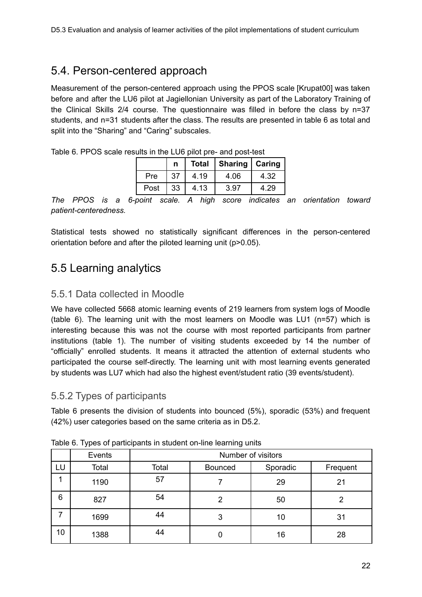### <span id="page-21-0"></span>5.4. Person-centered approach

Measurement of the person-centered approach using the PPOS scale [Krupat00] was taken before and after the LU6 pilot at Jagiellonian University as part of the Laboratory Training of the Clinical Skills 2/4 course. The questionnaire was filled in before the class by n=37 students, and n=31 students after the class. The results are presented in table 6 as total and split into the "Sharing" and "Caring" subscales.

|      | n  | <b>Total</b> | Sharing   Caring |       |
|------|----|--------------|------------------|-------|
| Pre  | 37 | 4.19         | 4.06             | 4.32  |
| Post | 33 | 4.13         | 3.97             | $-29$ |

Table 6. PPOS scale results in the LU6 pilot pre- and post-test

*The PPOS is a 6-point scale. A high score indicates an orientation toward patient-centeredness.*

Statistical tests showed no statistically significant differences in the person-centered orientation before and after the piloted learning unit (p>0.05).

### <span id="page-21-1"></span>5.5 Learning analytics

### <span id="page-21-2"></span>5.5.1 Data collected in Moodle

We have collected 5668 atomic learning events of 219 learners from system logs of Moodle (table 6). The learning unit with the most learners on Moodle was LU1 (n=57) which is interesting because this was not the course with most reported participants from partner institutions (table 1). The number of visiting students exceeded by 14 the number of "officially" enrolled students. It means it attracted the attention of external students who participated the course self-directly. The learning unit with most learning events generated by students was LU7 which had also the highest event/student ratio (39 events/student).

### <span id="page-21-3"></span>5.5.2 Types of participants

Table 6 presents the division of students into bounced (5%), sporadic (53%) and frequent (42%) user categories based on the same criteria as in D5.2.

|    |        |                    | ັ              |          |    |  |  |  |  |  |
|----|--------|--------------------|----------------|----------|----|--|--|--|--|--|
|    | Events | Number of visitors |                |          |    |  |  |  |  |  |
| LU | Total  | Total              | <b>Bounced</b> | Frequent |    |  |  |  |  |  |
|    | 1190   | 57                 |                | 29       | 21 |  |  |  |  |  |
| 6  | 827    | 54                 |                | 50       |    |  |  |  |  |  |
|    | 1699   | 44                 | 3              | 10       | 31 |  |  |  |  |  |
| 10 | 1388   | 44                 |                | 16       | 28 |  |  |  |  |  |

Table 6. Types of participants in student on-line learning units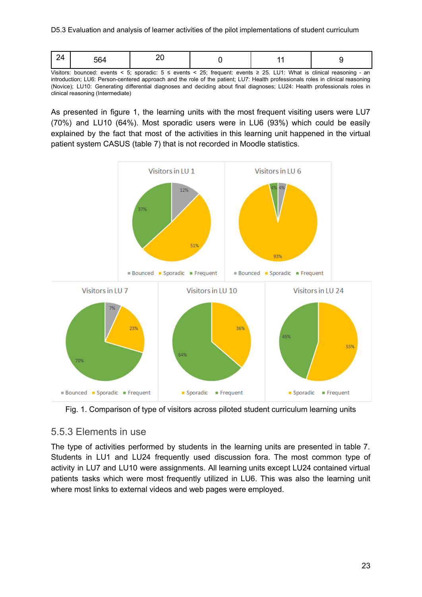Visitors: bounced: events < 5; sporadic: 5 ≤ events < 25; frequent: events ≥ 25. LU1: What is clinical reasoning - an introduction; LU6: Person-centered approach and the role of the patient; LU7: Health professionals roles in clinical reasoning (Novice); LU10: Generating differential diagnoses and deciding about final diagnoses; LU24: Health professionals roles in clinical reasoning (Intermediate)

As presented in figure 1, the learning units with the most frequent visiting users were LU7 (70%) and LU10 (64%). Most sporadic users were in LU6 (93%) which could be easily explained by the fact that most of the activities in this learning unit happened in the virtual patient system CASUS (table 7) that is not recorded in Moodle statistics.



Fig. 1. Comparison of type of visitors across piloted student curriculum learning units

### <span id="page-22-0"></span>5.5.3 Elements in use

The type of activities performed by students in the learning units are presented in table 7. Students in LU1 and LU24 frequently used discussion fora. The most common type of activity in LU7 and LU10 were assignments. All learning units except LU24 contained virtual patients tasks which were most frequently utilized in LU6. This was also the learning unit where most links to external videos and web pages were employed.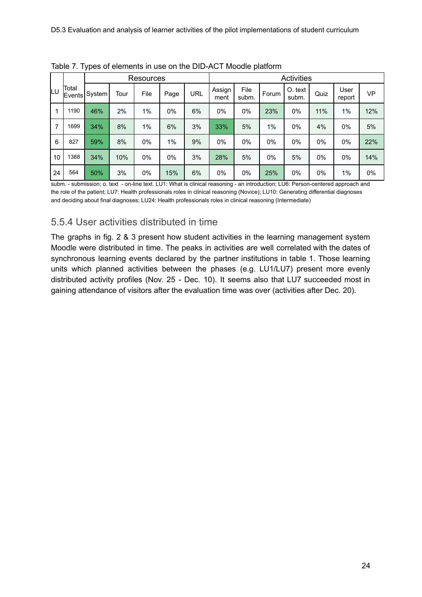|     |                        |         |      | Resources |      |     | <b>Activities</b> |               |       |                  |       |                |           |
|-----|------------------------|---------|------|-----------|------|-----|-------------------|---------------|-------|------------------|-------|----------------|-----------|
| ΙLυ | <b>Total</b><br>Events | System! | Tour | File      | Page | URL | Assign<br>ment    | File<br>subm. | Forum | O. text<br>subm. | Quiz  | User<br>report | <b>VP</b> |
| 1   | 1190                   | 46%     | 2%   | $1\%$     | 0%   | 6%  | 0%                | $0\%$         | 23%   | 0%               | 11%   | 1%             | 12%       |
| 7   | 1699                   | 34%     | 8%   | $1\%$     | 6%   | 3%  | 33%               | 5%            | 1%    | 0%               | 4%    | $0\%$          | 5%        |
| 6   | 827                    | 59%     | 8%   | $0\%$     | 1%   | 9%  | 0%                | $0\%$         | $0\%$ | $0\%$            | $0\%$ | 0%             | 22%       |
| 10  | 1388                   | 34%     | 10%  | $0\%$     | 0%   | 3%  | 28%               | 5%            | $0\%$ | 5%               | $0\%$ | $0\%$          | 14%       |
| 24  | 564                    | 50%     | 3%   | 0%        | 15%  | 6%  | 0%                | 0%            | 25%   | 0%               | $0\%$ | 1%             | 0%        |

Table 7. Types of elements in use on the DID-ACT Moodle platform

subm. - submission; o. text - on-line text. LU1: What is clinical reasoning - an introduction; LU6: Person-centered approach and the role of the patient; LU7: Health professionals roles in clinical reasoning (Novice); LU10: Generating differential diagnoses and deciding about final diagnoses; LU24: Health professionals roles in clinical reasoning (Intermediate)

### <span id="page-23-0"></span>5.5.4 User activities distributed in time

The graphs in fig. 2 & 3 present how student activities in the learning management system Moodle were distributed in time. The peaks in activities are well correlated with the dates of synchronous learning events declared by the partner institutions in table 1. Those learning units which planned activities between the phases (e.g. LU1/LU7) present more evenly distributed activity profiles (Nov. 25 - Dec. 10). It seems also that LU7 succeeded most in gaining attendance of visitors after the evaluation time was over (activities after Dec. 20).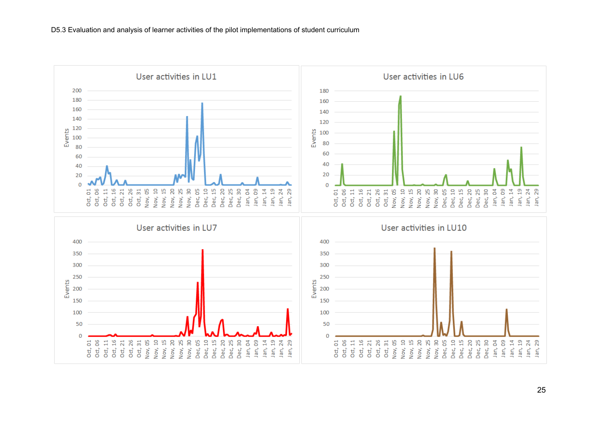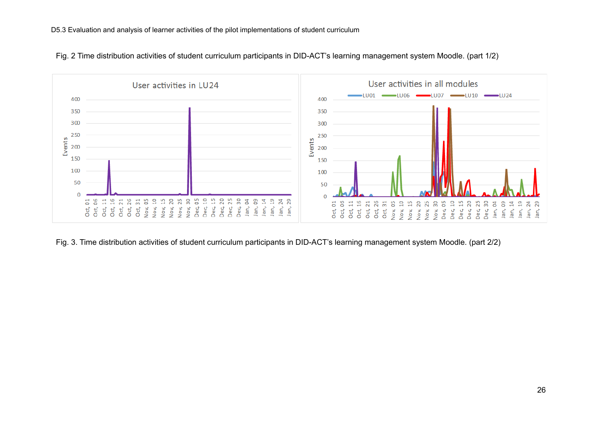

Fig. 2 Time distribution activities of student curriculum participants in DID-ACT's learning management system Moodle. (part 1/2)

Fig. 3. Time distribution activities of student curriculum participants in DID-ACT's learning management system Moodle. (part 2/2)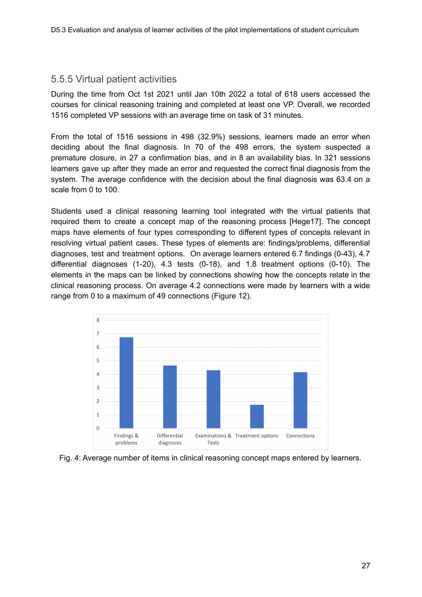### <span id="page-26-0"></span>5.5.5 Virtual patient activities

During the time from Oct 1st 2021 until Jan 10th 2022 a total of 618 users accessed the courses for clinical reasoning training and completed at least one VP. Overall, we recorded 1516 completed VP sessions with an average time on task of 31 minutes.

From the total of 1516 sessions in 498 (32.9%) sessions, learners made an error when deciding about the final diagnosis. In 70 of the 498 errors, the system suspected a premature closure, in 27 a confirmation bias, and in 8 an availability bias. In 321 sessions learners gave up after they made an error and requested the correct final diagnosis from the system. The average confidence with the decision about the final diagnosis was 63.4 on a scale from 0 to 100.

Students used a clinical reasoning learning tool integrated with the virtual patients that required them to create a concept map of the reasoning process [Hege17]. The concept maps have elements of four types corresponding to different types of concepts relevant in resolving virtual patient cases. These types of elements are: findings/problems, differential diagnoses, test and treatment options. On average learners entered 6.7 findings (0-43), 4.7 differential diagnoses (1-20), 4.3 tests (0-18), and 1.8 treatment options (0-10). The elements in the maps can be linked by connections showing how the concepts relate in the clinical reasoning process. On average 4.2 connections were made by learners with a wide range from 0 to a maximum of 49 connections (Figure 12).



Fig. 4: Average number of items in clinical reasoning concept maps entered by learners.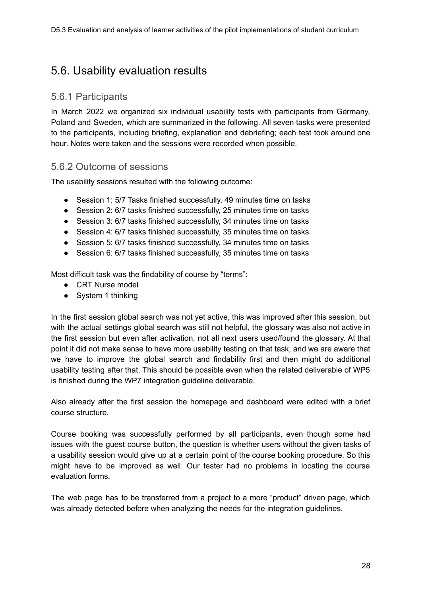### <span id="page-27-0"></span>5.6. Usability evaluation results

### <span id="page-27-1"></span>5.6.1 Participants

In March 2022 we organized six individual usability tests with participants from Germany, Poland and Sweden, which are summarized in the following. All seven tasks were presented to the participants, including briefing, explanation and debriefing; each test took around one hour. Notes were taken and the sessions were recorded when possible.

### <span id="page-27-2"></span>5.6.2 Outcome of sessions

The usability sessions resulted with the following outcome:

- Session 1: 5/7 Tasks finished successfully, 49 minutes time on tasks
- Session 2: 6/7 tasks finished successfully, 25 minutes time on tasks
- Session 3: 6/7 tasks finished successfully, 34 minutes time on tasks
- Session 4: 6/7 tasks finished successfully, 35 minutes time on tasks
- Session 5: 6/7 tasks finished successfully, 34 minutes time on tasks
- Session 6: 6/7 tasks finished successfully, 35 minutes time on tasks

Most difficult task was the findability of course by "terms":

- CRT Nurse model
- System 1 thinking

In the first session global search was not yet active, this was improved after this session, but with the actual settings global search was still not helpful, the glossary was also not active in the first session but even after activation, not all next users used/found the glossary. At that point it did not make sense to have more usability testing on that task, and we are aware that we have to improve the global search and findability first and then might do additional usability testing after that. This should be possible even when the related deliverable of WP5 is finished during the WP7 integration guideline deliverable.

Also already after the first session the homepage and dashboard were edited with a brief course structure.

Course booking was successfully performed by all participants, even though some had issues with the guest course button, the question is whether users without the given tasks of a usability session would give up at a certain point of the course booking procedure. So this might have to be improved as well. Our tester had no problems in locating the course evaluation forms.

The web page has to be transferred from a project to a more "product" driven page, which was already detected before when analyzing the needs for the integration guidelines.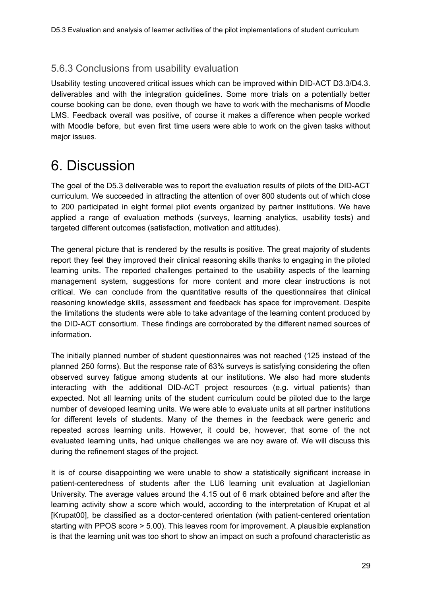### <span id="page-28-0"></span>5.6.3 Conclusions from usability evaluation

Usability testing uncovered critical issues which can be improved within DID-ACT D3.3/D4.3. deliverables and with the integration guidelines. Some more trials on a potentially better course booking can be done, even though we have to work with the mechanisms of Moodle LMS. Feedback overall was positive, of course it makes a difference when people worked with Moodle before, but even first time users were able to work on the given tasks without major issues.

## <span id="page-28-1"></span>6. Discussion

The goal of the D5.3 deliverable was to report the evaluation results of pilots of the DID-ACT curriculum. We succeeded in attracting the attention of over 800 students out of which close to 200 participated in eight formal pilot events organized by partner institutions. We have applied a range of evaluation methods (surveys, learning analytics, usability tests) and targeted different outcomes (satisfaction, motivation and attitudes).

The general picture that is rendered by the results is positive. The great majority of students report they feel they improved their clinical reasoning skills thanks to engaging in the piloted learning units. The reported challenges pertained to the usability aspects of the learning management system, suggestions for more content and more clear instructions is not critical. We can conclude from the quantitative results of the questionnaires that clinical reasoning knowledge skills, assessment and feedback has space for improvement. Despite the limitations the students were able to take advantage of the learning content produced by the DID-ACT consortium. These findings are corroborated by the different named sources of information.

The initially planned number of student questionnaires was not reached (125 instead of the planned 250 forms). But the response rate of 63% surveys is satisfying considering the often observed survey fatigue among students at our institutions. We also had more students interacting with the additional DID-ACT project resources (e.g. virtual patients) than expected. Not all learning units of the student curriculum could be piloted due to the large number of developed learning units. We were able to evaluate units at all partner institutions for different levels of students. Many of the themes in the feedback were generic and repeated across learning units. However, it could be, however, that some of the not evaluated learning units, had unique challenges we are noy aware of. We will discuss this during the refinement stages of the project.

It is of course disappointing we were unable to show a statistically significant increase in patient-centeredness of students after the LU6 learning unit evaluation at Jagiellonian University. The average values around the 4.15 out of 6 mark obtained before and after the learning activity show a score which would, according to the interpretation of Krupat et al [Krupat00], be classified as a doctor-centered orientation (with patient-centered orientation starting with PPOS score > 5.00). This leaves room for improvement. A plausible explanation is that the learning unit was too short to show an impact on such a profound characteristic as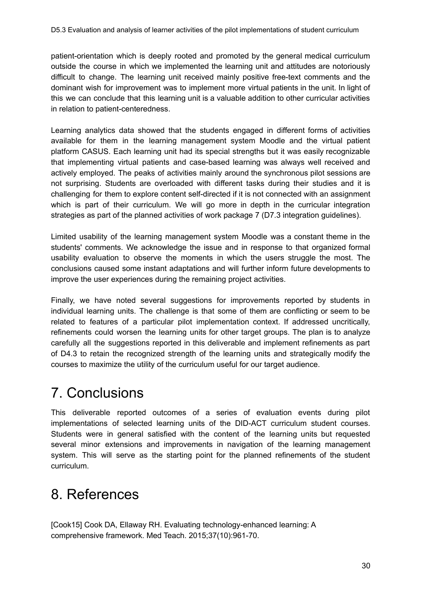patient-orientation which is deeply rooted and promoted by the general medical curriculum outside the course in which we implemented the learning unit and attitudes are notoriously difficult to change. The learning unit received mainly positive free-text comments and the dominant wish for improvement was to implement more virtual patients in the unit. In light of this we can conclude that this learning unit is a valuable addition to other curricular activities in relation to patient-centeredness.

Learning analytics data showed that the students engaged in different forms of activities available for them in the learning management system Moodle and the virtual patient platform CASUS. Each learning unit had its special strengths but it was easily recognizable that implementing virtual patients and case-based learning was always well received and actively employed. The peaks of activities mainly around the synchronous pilot sessions are not surprising. Students are overloaded with different tasks during their studies and it is challenging for them to explore content self-directed if it is not connected with an assignment which is part of their curriculum. We will go more in depth in the curricular integration strategies as part of the planned activities of work package 7 (D7.3 integration guidelines).

Limited usability of the learning management system Moodle was a constant theme in the students' comments. We acknowledge the issue and in response to that organized formal usability evaluation to observe the moments in which the users struggle the most. The conclusions caused some instant adaptations and will further inform future developments to improve the user experiences during the remaining project activities.

Finally, we have noted several suggestions for improvements reported by students in individual learning units. The challenge is that some of them are conflicting or seem to be related to features of a particular pilot implementation context. If addressed uncritically, refinements could worsen the learning units for other target groups. The plan is to analyze carefully all the suggestions reported in this deliverable and implement refinements as part of D4.3 to retain the recognized strength of the learning units and strategically modify the courses to maximize the utility of the curriculum useful for our target audience.

## <span id="page-29-0"></span>7. Conclusions

This deliverable reported outcomes of a series of evaluation events during pilot implementations of selected learning units of the DID-ACT curriculum student courses. Students were in general satisfied with the content of the learning units but requested several minor extensions and improvements in navigation of the learning management system. This will serve as the starting point for the planned refinements of the student curriculum.

## <span id="page-29-1"></span>8. References

[Cook15] Cook DA, Ellaway RH. Evaluating technology-enhanced learning: A comprehensive framework. Med Teach. 2015;37(10):961-70.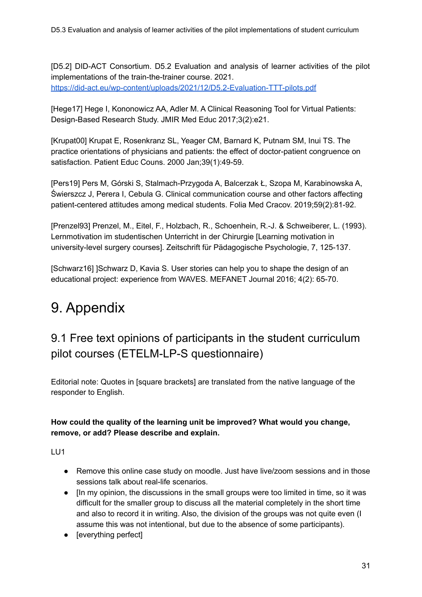[D5.2] DID-ACT Consortium. D5.2 Evaluation and analysis of learner activities of the pilot implementations of the train-the-trainer course. 2021. <https://did-act.eu/wp-content/uploads/2021/12/D5.2-Evaluation-TTT-pilots.pdf>

[Hege17] Hege I, Kononowicz AA, Adler M. A Clinical Reasoning Tool for Virtual Patients: Design-Based Research Study. JMIR Med Educ 2017;3(2):e21.

[Krupat00] Krupat E, Rosenkranz SL, Yeager CM, Barnard K, Putnam SM, Inui TS. The practice orientations of physicians and patients: the effect of doctor-patient congruence on satisfaction. Patient Educ Couns. 2000 Jan;39(1):49-59.

[Pers19] Pers M, Górski S, Stalmach-Przygoda A, Balcerzak Ł, Szopa M, Karabinowska A, Świerszcz J, Perera I, Cebula G. Clinical communication course and other factors affecting patient-centered attitudes among medical students. Folia Med Cracov. 2019;59(2):81-92.

[Prenzel93] Prenzel, M., Eitel, F., Holzbach, R., Schoenhein, R.-J. & Schweiberer, L. (1993). Lernmotivation im studentischen Unterricht in der Chirurgie [Learning motivation in university-level surgery courses]. Zeitschrift für Pädagogische Psychologie, 7, 125-137.

[Schwarz16] ]Schwarz D, Kavia S. User stories can help you to shape the design of an educational project: experience from WAVES. MEFANET Journal 2016; 4(2): 65-70.

# <span id="page-30-0"></span>9. Appendix

### <span id="page-30-1"></span>9.1 Free text opinions of participants in the student curriculum pilot courses (ETELM-LP-S questionnaire)

Editorial note: Quotes in [square brackets] are translated from the native language of the responder to English.

### **How could the quality of the learning unit be improved? What would you change, remove, or add? Please describe and explain.**

- Remove this online case study on moodle. Just have live/zoom sessions and in those sessions talk about real-life scenarios.
- [In my opinion, the discussions in the small groups were too limited in time, so it was difficult for the smaller group to discuss all the material completely in the short time and also to record it in writing. Also, the division of the groups was not quite even (I assume this was not intentional, but due to the absence of some participants).
- **Ieverything perfectl**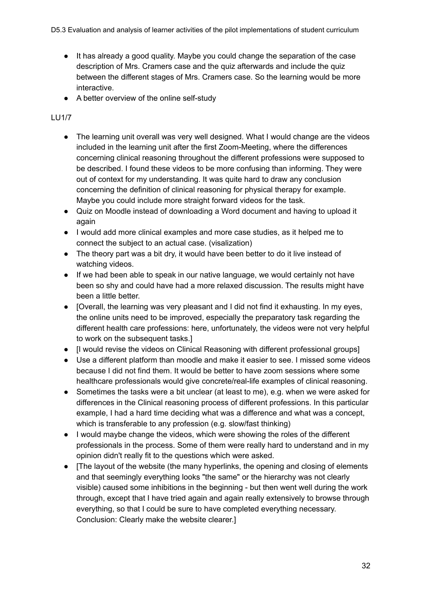- It has already a good quality. Maybe you could change the separation of the case description of Mrs. Cramers case and the quiz afterwards and include the quiz between the different stages of Mrs. Cramers case. So the learning would be more interactive.
- A better overview of the online self-study

### LU1/7

- The learning unit overall was very well designed. What I would change are the videos included in the learning unit after the first Zoom-Meeting, where the differences concerning clinical reasoning throughout the different professions were supposed to be described. I found these videos to be more confusing than informing. They were out of context for my understanding. It was quite hard to draw any conclusion concerning the definition of clinical reasoning for physical therapy for example. Maybe you could include more straight forward videos for the task.
- Quiz on Moodle instead of downloading a Word document and having to upload it again
- I would add more clinical examples and more case studies, as it helped me to connect the subject to an actual case. (visalization)
- The theory part was a bit dry, it would have been better to do it live instead of watching videos.
- If we had been able to speak in our native language, we would certainly not have been so shy and could have had a more relaxed discussion. The results might have been a little better.
- [Overall, the learning was very pleasant and I did not find it exhausting. In my eyes, the online units need to be improved, especially the preparatory task regarding the different health care professions: here, unfortunately, the videos were not very helpful to work on the subsequent tasks.]
- If would revise the videos on Clinical Reasoning with different professional groups]
- Use a different platform than moodle and make it easier to see. I missed some videos because I did not find them. It would be better to have zoom sessions where some healthcare professionals would give concrete/real-life examples of clinical reasoning.
- Sometimes the tasks were a bit unclear (at least to me), e.g. when we were asked for differences in the Clinical reasoning process of different professions. In this particular example, I had a hard time deciding what was a difference and what was a concept, which is transferable to any profession (e.g. slow/fast thinking)
- I would maybe change the videos, which were showing the roles of the different professionals in the process. Some of them were really hard to understand and in my opinion didn't really fit to the questions which were asked.
- [The layout of the website (the many hyperlinks, the opening and closing of elements and that seemingly everything looks "the same" or the hierarchy was not clearly visible) caused some inhibitions in the beginning - but then went well during the work through, except that I have tried again and again really extensively to browse through everything, so that I could be sure to have completed everything necessary. Conclusion: Clearly make the website clearer.]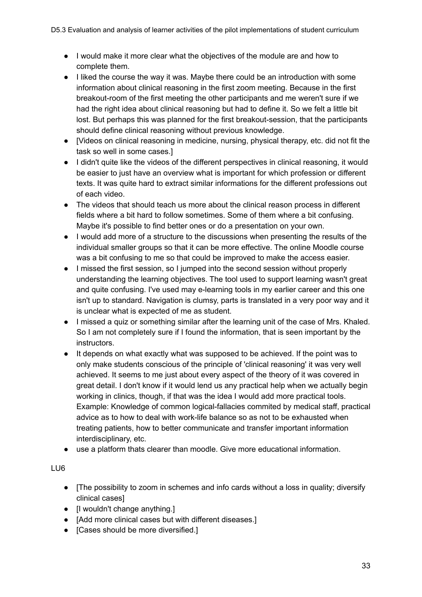- I would make it more clear what the objectives of the module are and how to complete them.
- I liked the course the way it was. Maybe there could be an introduction with some information about clinical reasoning in the first zoom meeting. Because in the first breakout-room of the first meeting the other participants and me weren't sure if we had the right idea about clinical reasoning but had to define it. So we felt a little bit lost. But perhaps this was planned for the first breakout-session, that the participants should define clinical reasoning without previous knowledge.
- [Videos on clinical reasoning in medicine, nursing, physical therapy, etc. did not fit the task so well in some cases.]
- I didn't quite like the videos of the different perspectives in clinical reasoning, it would be easier to just have an overview what is important for which profession or different texts. It was quite hard to extract similar informations for the different professions out of each video.
- The videos that should teach us more about the clinical reason process in different fields where a bit hard to follow sometimes. Some of them where a bit confusing. Maybe it's possible to find better ones or do a presentation on your own.
- I would add more of a structure to the discussions when presenting the results of the individual smaller groups so that it can be more effective. The online Moodle course was a bit confusing to me so that could be improved to make the access easier.
- I missed the first session, so I jumped into the second session without properly understanding the learning objectives. The tool used to support learning wasn't great and quite confusing. I've used may e-learning tools in my earlier career and this one isn't up to standard. Navigation is clumsy, parts is translated in a very poor way and it is unclear what is expected of me as student.
- I missed a quiz or something similar after the learning unit of the case of Mrs. Khaled. So I am not completely sure if I found the information, that is seen important by the instructors.
- It depends on what exactly what was supposed to be achieved. If the point was to only make students conscious of the principle of 'clinical reasoning' it was very well achieved. It seems to me just about every aspect of the theory of it was covered in great detail. I don't know if it would lend us any practical help when we actually begin working in clinics, though, if that was the idea I would add more practical tools. Example: Knowledge of common logical-fallacies commited by medical staff, practical advice as to how to deal with work-life balance so as not to be exhausted when treating patients, how to better communicate and transfer important information interdisciplinary, etc.
- use a platform thats clearer than moodle. Give more educational information.

- [The possibility to zoom in schemes and info cards without a loss in quality; diversify clinical cases]
- Il wouldn't change anything.
- [Add more clinical cases but with different diseases.]
- [Cases should be more diversified.]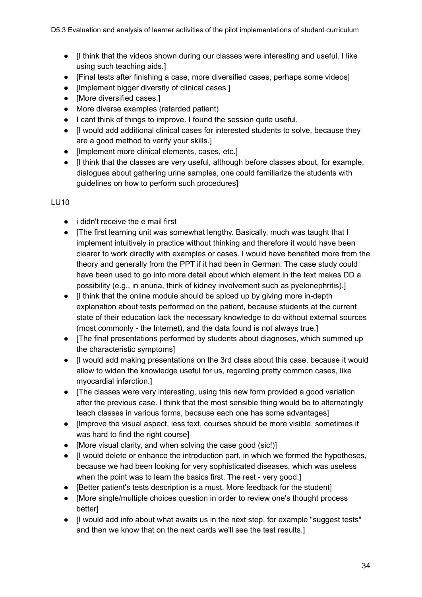- [I think that the videos shown during our classes were interesting and useful. I like using such teaching aids.]
- [Final tests after finishing a case, more diversified cases, perhaps some videos]
- [Implement bigger diversity of clinical cases.]
- [More diversified cases.]
- More diverse examples (retarded patient)
- I cant think of things to improve. I found the session quite useful.
- [I would add additional clinical cases for interested students to solve, because they are a good method to verify your skills.]
- [Implement more clinical elements, cases, etc.]
- [I think that the classes are very useful, although before classes about, for example, dialogues about gathering urine samples, one could familiarize the students with guidelines on how to perform such procedures]

- i didn't receive the e mail first
- [The first learning unit was somewhat lengthy. Basically, much was taught that I implement intuitively in practice without thinking and therefore it would have been clearer to work directly with examples or cases. I would have benefited more from the theory and generally from the PPT if it had been in German. The case study could have been used to go into more detail about which element in the text makes DD a possibility (e.g., in anuria, think of kidney involvement such as pyelonephritis).]
- [I think that the online module should be spiced up by giving more in-depth explanation about tests performed on the patient, because students at the current state of their education lack the necessary knowledge to do without external sources (most commonly - the Internet), and the data found is not always true.]
- [The final presentations performed by students about diagnoses, which summed up the characteristic symptoms]
- [I would add making presentations on the 3rd class about this case, because it would allow to widen the knowledge useful for us, regarding pretty common cases, like myocardial infarction.]
- [The classes were very interesting, using this new form provided a good variation after the previous case. I think that the most sensible thing would be to alternatingly teach classes in various forms, because each one has some advantages]
- [Improve the visual aspect, less text, courses should be more visible, sometimes it was hard to find the right coursel
- [More visual clarity, and when solving the case good (sic!)]
- [I would delete or enhance the introduction part, in which we formed the hypotheses, because we had been looking for very sophisticated diseases, which was useless when the point was to learn the basics first. The rest - very good.]
- [Better patient's tests description is a must. More feedback for the student]
- [More single/multiple choices question in order to review one's thought process **betterl**
- [I would add info about what awaits us in the next step, for example "suggest tests" and then we know that on the next cards we'll see the test results.]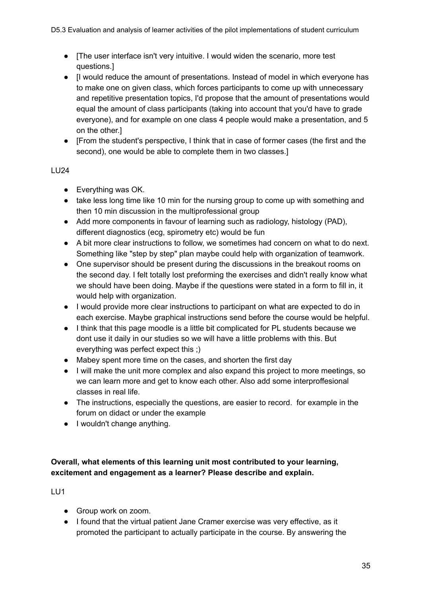- [The user interface isn't very intuitive. I would widen the scenario, more test questions.]
- [I would reduce the amount of presentations. Instead of model in which everyone has to make one on given class, which forces participants to come up with unnecessary and repetitive presentation topics, I'd propose that the amount of presentations would equal the amount of class participants (taking into account that you'd have to grade everyone), and for example on one class 4 people would make a presentation, and 5 on the other.]
- [From the student's perspective, I think that in case of former cases (the first and the second), one would be able to complete them in two classes.]

### LU24

- Everything was OK.
- take less long time like 10 min for the nursing group to come up with something and then 10 min discussion in the multiprofessional group
- Add more components in favour of learning such as radiology, histology (PAD), different diagnostics (ecg, spirometry etc) would be fun
- A bit more clear instructions to follow, we sometimes had concern on what to do next. Something like "step by step" plan maybe could help with organization of teamwork.
- One supervisor should be present during the discussions in the breakout rooms on the second day. I felt totally lost preforming the exercises and didn't really know what we should have been doing. Maybe if the questions were stated in a form to fill in, it would help with organization.
- I would provide more clear instructions to participant on what are expected to do in each exercise. Maybe graphical instructions send before the course would be helpful.
- I think that this page moodle is a little bit complicated for PL students because we dont use it daily in our studies so we will have a little problems with this. But everything was perfect expect this ;)
- Mabey spent more time on the cases, and shorten the first day
- I will make the unit more complex and also expand this project to more meetings, so we can learn more and get to know each other. Also add some interproffesional classes in real life.
- The instructions, especially the questions, are easier to record. for example in the forum on didact or under the example
- I wouldn't change anything.

### **Overall, what elements of this learning unit most contributed to your learning, excitement and engagement as a learner? Please describe and explain.**

- Group work on zoom.
- I found that the virtual patient Jane Cramer exercise was very effective, as it promoted the participant to actually participate in the course. By answering the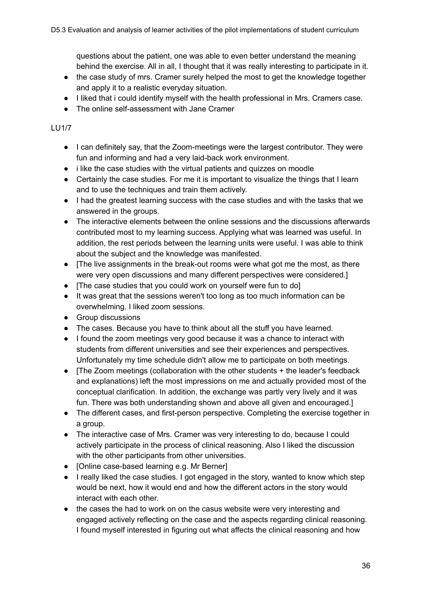questions about the patient, one was able to even better understand the meaning behind the exercise. All in all, I thought that it was really interesting to participate in it.

- the case study of mrs. Cramer surely helped the most to get the knowledge together and apply it to a realistic everyday situation.
- I liked that i could identify myself with the health professional in Mrs. Cramers case.
- The online self-assessment with Jane Cramer

### LU1/7

- I can definitely say, that the Zoom-meetings were the largest contributor. They were fun and informing and had a very laid-back work environment.
- i like the case studies with the virtual patients and quizzes on moodle
- Certainly the case studies. For me it is important to visualize the things that I learn and to use the techniques and train them actively.
- I had the greatest learning success with the case studies and with the tasks that we answered in the groups.
- The interactive elements between the online sessions and the discussions afterwards contributed most to my learning success. Applying what was learned was useful. In addition, the rest periods between the learning units were useful. I was able to think about the subject and the knowledge was manifested.
- [The live assignments in the break-out rooms were what got me the most, as there were very open discussions and many different perspectives were considered.]
- [The case studies that you could work on yourself were fun to do]
- It was great that the sessions weren't too long as too much information can be overwhelming. I liked zoom sessions.
- Group discussions
- The cases. Because you have to think about all the stuff you have learned.
- I found the zoom meetings very good because it was a chance to interact with students from different universities and see their experiences and perspectives. Unfortunately my time schedule didn't allow me to participate on both meetings.
- [The Zoom meetings (collaboration with the other students + the leader's feedback and explanations) left the most impressions on me and actually provided most of the conceptual clarification. In addition, the exchange was partly very lively and it was fun. There was both understanding shown and above all given and encouraged.]
- The different cases, and first-person perspective. Completing the exercise together in a group.
- The interactive case of Mrs. Cramer was very interesting to do, because I could actively participate in the process of clinical reasoning. Also I liked the discussion with the other participants from other universities.
- [Online case-based learning e.g. Mr Berner]
- I really liked the case studies. I got engaged in the story, wanted to know which step would be next, how it would end and how the different actors in the story would interact with each other.
- the cases the had to work on on the casus website were very interesting and engaged actively reflecting on the case and the aspects regarding clinical reasoning. I found myself interested in figuring out what affects the clinical reasoning and how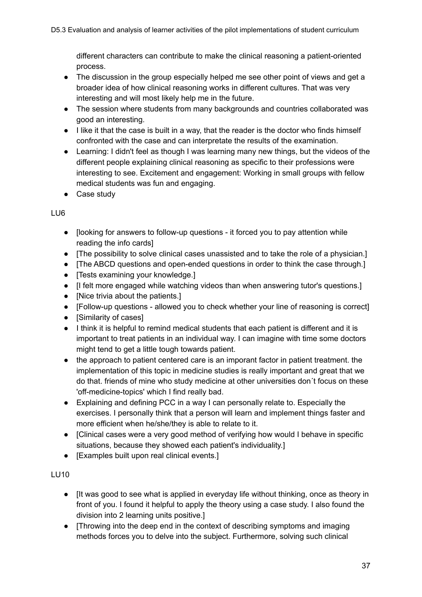different characters can contribute to make the clinical reasoning a patient-oriented process.

- The discussion in the group especially helped me see other point of views and get a broader idea of how clinical reasoning works in different cultures. That was very interesting and will most likely help me in the future.
- The session where students from many backgrounds and countries collaborated was good an interesting.
- I like it that the case is built in a way, that the reader is the doctor who finds himself confronted with the case and can interpretate the results of the examination.
- Learning: I didn't feel as though I was learning many new things, but the videos of the different people explaining clinical reasoning as specific to their professions were interesting to see. Excitement and engagement: Working in small groups with fellow medical students was fun and engaging.
- Case study

### LU6

- [looking for answers to follow-up questions it forced you to pay attention while reading the info cards]
- [The possibility to solve clinical cases unassisted and to take the role of a physician.]
- [The ABCD questions and open-ended questions in order to think the case through.]
- [Tests examining your knowledge.]
- [I felt more engaged while watching videos than when answering tutor's questions.]
- [Nice trivia about the patients.]
- [Follow-up questions allowed you to check whether your line of reasoning is correct]
- [Similarity of cases]
- I think it is helpful to remind medical students that each patient is different and it is important to treat patients in an individual way. I can imagine with time some doctors might tend to get a little tough towards patient.
- the approach to patient centered care is an imporant factor in patient treatment. the implementation of this topic in medicine studies is really important and great that we do that. friends of mine who study medicine at other universities don´t focus on these 'off-medicine-topics' which I find really bad.
- Explaining and defining PCC in a way I can personally relate to. Especially the exercises. I personally think that a person will learn and implement things faster and more efficient when he/she/they is able to relate to it.
- [Clinical cases were a very good method of verifying how would I behave in specific situations, because they showed each patient's individuality.]
- [Examples built upon real clinical events.]

- [It was good to see what is applied in everyday life without thinking, once as theory in front of you. I found it helpful to apply the theory using a case study. I also found the division into 2 learning units positive.]
- [Throwing into the deep end in the context of describing symptoms and imaging methods forces you to delve into the subject. Furthermore, solving such clinical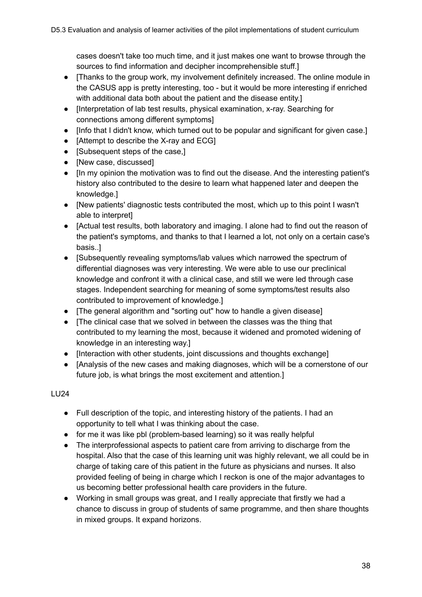cases doesn't take too much time, and it just makes one want to browse through the sources to find information and decipher incomprehensible stuff.]

- [Thanks to the group work, my involvement definitely increased. The online module in the CASUS app is pretty interesting, too - but it would be more interesting if enriched with additional data both about the patient and the disease entity.]
- [Interpretation of lab test results, physical examination, x-ray. Searching for connections among different symptoms]
- [Info that I didn't know, which turned out to be popular and significant for given case.]
- [Attempt to describe the X-ray and ECG]
- [Subsequent steps of the case.]
- [New case, discussed]
- [In my opinion the motivation was to find out the disease. And the interesting patient's history also contributed to the desire to learn what happened later and deepen the knowledge.]
- [New patients' diagnostic tests contributed the most, which up to this point I wasn't able to interpret]
- [Actual test results, both laboratory and imaging. I alone had to find out the reason of the patient's symptoms, and thanks to that I learned a lot, not only on a certain case's basis..]
- [Subsequently revealing symptoms/lab values which narrowed the spectrum of differential diagnoses was very interesting. We were able to use our preclinical knowledge and confront it with a clinical case, and still we were led through case stages. Independent searching for meaning of some symptoms/test results also contributed to improvement of knowledge.]
- [The general algorithm and "sorting out" how to handle a given disease]
- [The clinical case that we solved in between the classes was the thing that contributed to my learning the most, because it widened and promoted widening of knowledge in an interesting way.]
- [Interaction with other students, joint discussions and thoughts exchange]
- [Analysis of the new cases and making diagnoses, which will be a cornerstone of our future job, is what brings the most excitement and attention.]

- Full description of the topic, and interesting history of the patients. I had an opportunity to tell what I was thinking about the case.
- for me it was like pbl (problem-based learning) so it was really helpful
- The interprofessional aspects to patient care from arriving to discharge from the hospital. Also that the case of this learning unit was highly relevant, we all could be in charge of taking care of this patient in the future as physicians and nurses. It also provided feeling of being in charge which I reckon is one of the major advantages to us becoming better professional health care providers in the future.
- Working in small groups was great, and I really appreciate that firstly we had a chance to discuss in group of students of same programme, and then share thoughts in mixed groups. It expand horizons.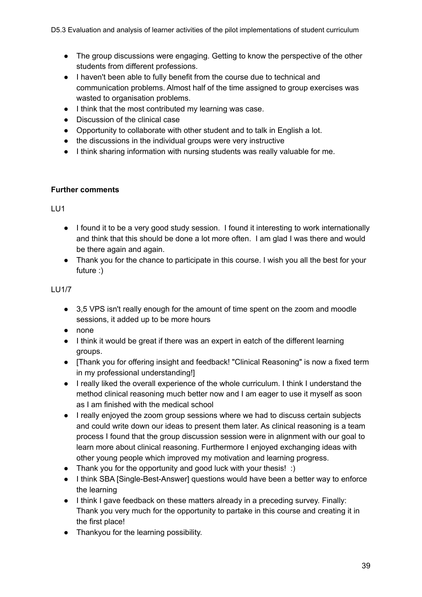- The group discussions were engaging. Getting to know the perspective of the other students from different professions.
- I haven't been able to fully benefit from the course due to technical and communication problems. Almost half of the time assigned to group exercises was wasted to organisation problems.
- I think that the most contributed my learning was case.
- Discussion of the clinical case
- Opportunity to collaborate with other student and to talk in English a lot.
- the discussions in the individual groups were very instructive
- I think sharing information with nursing students was really valuable for me.

### **Further comments**

LU1

- I found it to be a very good study session. I found it interesting to work internationally and think that this should be done a lot more often. I am glad I was there and would be there again and again.
- Thank you for the chance to participate in this course. I wish you all the best for your future :)

### LU1/7

- 3,5 VPS isn't really enough for the amount of time spent on the zoom and moodle sessions, it added up to be more hours
- none
- I think it would be great if there was an expert in eatch of the different learning groups.
- [Thank you for offering insight and feedback! "Clinical Reasoning" is now a fixed term in my professional understanding!]
- I really liked the overall experience of the whole curriculum. I think I understand the method clinical reasoning much better now and I am eager to use it myself as soon as I am finished with the medical school
- I really enjoyed the zoom group sessions where we had to discuss certain subjects and could write down our ideas to present them later. As clinical reasoning is a team process I found that the group discussion session were in alignment with our goal to learn more about clinical reasoning. Furthermore I enjoyed exchanging ideas with other young people which improved my motivation and learning progress.
- Thank you for the opportunity and good luck with your thesis! :)
- I think SBA ISingle-Best-Answerl questions would have been a better way to enforce the learning
- I think I gave feedback on these matters already in a preceding survey. Finally: Thank you very much for the opportunity to partake in this course and creating it in the first place!
- Thankyou for the learning possibility.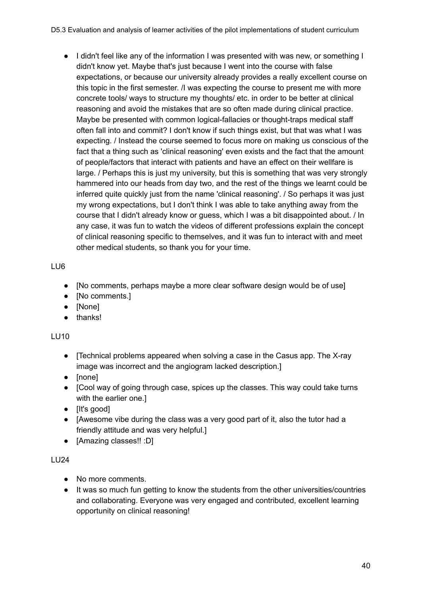● I didn't feel like any of the information I was presented with was new, or something I didn't know yet. Maybe that's just because I went into the course with false expectations, or because our university already provides a really excellent course on this topic in the first semester. /I was expecting the course to present me with more concrete tools/ ways to structure my thoughts/ etc. in order to be better at clinical reasoning and avoid the mistakes that are so often made during clinical practice. Maybe be presented with common logical-fallacies or thought-traps medical staff often fall into and commit? I don't know if such things exist, but that was what I was expecting. / Instead the course seemed to focus more on making us conscious of the fact that a thing such as 'clinical reasoning' even exists and the fact that the amount of people/factors that interact with patients and have an effect on their wellfare is large. / Perhaps this is just my university, but this is something that was very strongly hammered into our heads from day two, and the rest of the things we learnt could be inferred quite quickly just from the name 'clinical reasoning'. / So perhaps it was just my wrong expectations, but I don't think I was able to take anything away from the course that I didn't already know or guess, which I was a bit disappointed about. / In any case, it was fun to watch the videos of different professions explain the concept of clinical reasoning specific to themselves, and it was fun to interact with and meet other medical students, so thank you for your time.

### LU6

- [No comments, perhaps maybe a more clear software design would be of use]
- [No comments.]
- [None]
- thanks!

### LU10

- [Technical problems appeared when solving a case in the Casus app. The X-ray image was incorrect and the angiogram lacked description.]
- [none]
- [Cool way of going through case, spices up the classes. This way could take turns with the earlier one.]
- [It's good]
- [Awesome vibe during the class was a very good part of it, also the tutor had a friendly attitude and was very helpful.]
- [Amazing classes!! :D]

- No more comments.
- It was so much fun getting to know the students from the other universities/countries and collaborating. Everyone was very engaged and contributed, excellent learning opportunity on clinical reasoning!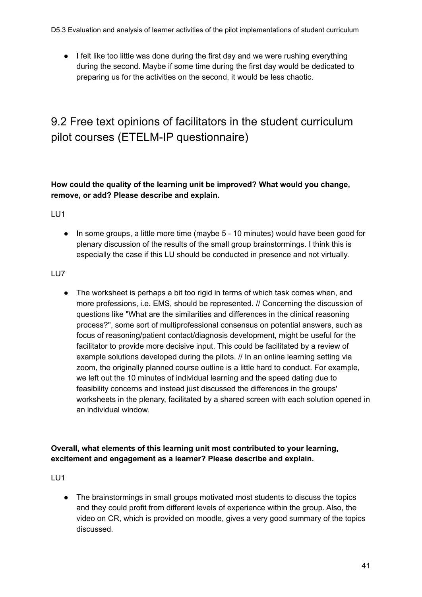D5.3 Evaluation and analysis of learner activities of the pilot implementations of student curriculum

● I felt like too little was done during the first day and we were rushing everything during the second. Maybe if some time during the first day would be dedicated to preparing us for the activities on the second, it would be less chaotic.

### <span id="page-40-0"></span>9.2 Free text opinions of facilitators in the student curriculum pilot courses (ETELM-IP questionnaire)

### **How could the quality of the learning unit be improved? What would you change, remove, or add? Please describe and explain.**

LU1

● In some groups, a little more time (maybe 5 - 10 minutes) would have been good for plenary discussion of the results of the small group brainstormings. I think this is especially the case if this LU should be conducted in presence and not virtually.

### LU7

● The worksheet is perhaps a bit too rigid in terms of which task comes when, and more professions, i.e. EMS, should be represented. // Concerning the discussion of questions like "What are the similarities and differences in the clinical reasoning process?", some sort of multiprofessional consensus on potential answers, such as focus of reasoning/patient contact/diagnosis development, might be useful for the facilitator to provide more decisive input. This could be facilitated by a review of example solutions developed during the pilots. // In an online learning setting via zoom, the originally planned course outline is a little hard to conduct. For example, we left out the 10 minutes of individual learning and the speed dating due to feasibility concerns and instead just discussed the differences in the groups' worksheets in the plenary, facilitated by a shared screen with each solution opened in an individual window.

### **Overall, what elements of this learning unit most contributed to your learning, excitement and engagement as a learner? Please describe and explain.**

LU1

● The brainstormings in small groups motivated most students to discuss the topics and they could profit from different levels of experience within the group. Also, the video on CR, which is provided on moodle, gives a very good summary of the topics discussed.